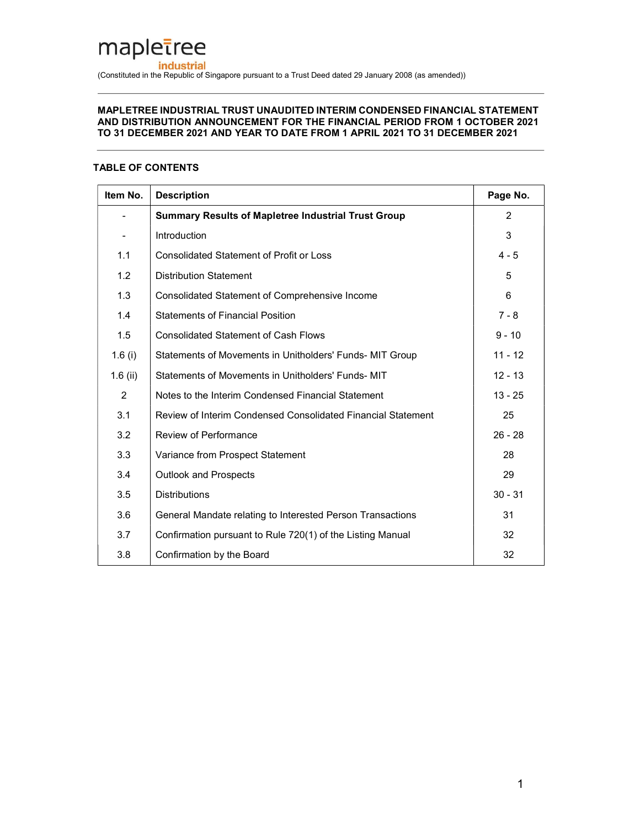# mapletree industrial (Constituted in the Republic of Singapore pursuant to a Trust Deed dated 29 January 2008 (as amended))

#### MAPLETREE INDUSTRIAL TRUST UNAUDITED INTERIM CONDENSED FINANCIAL STATEMENT AND DISTRIBUTION ANNOUNCEMENT FOR THE FINANCIAL PERIOD FROM 1 OCTOBER 2021 TO 31 DECEMBER 2021 AND YEAR TO DATE FROM 1 APRIL 2021 TO 31 DECEMBER 2021

# TABLE OF CONTENTS

| Item No.   | <b>Description</b>                                           | Page No.       |
|------------|--------------------------------------------------------------|----------------|
|            | <b>Summary Results of Mapletree Industrial Trust Group</b>   | $\overline{2}$ |
|            | Introduction                                                 | 3              |
| 1.1        | <b>Consolidated Statement of Profit or Loss</b>              | $4 - 5$        |
| 1.2        | <b>Distribution Statement</b>                                | 5              |
| 1.3        | Consolidated Statement of Comprehensive Income               | 6              |
| 1.4        | <b>Statements of Financial Position</b>                      | $7 - 8$        |
| 1.5        | <b>Consolidated Statement of Cash Flows</b>                  | $9 - 10$       |
| 1.6 $(i)$  | Statements of Movements in Unitholders' Funds- MIT Group     | $11 - 12$      |
| $1.6$ (ii) | Statements of Movements in Unitholders' Funds- MIT           | $12 - 13$      |
| 2          | Notes to the Interim Condensed Financial Statement           | $13 - 25$      |
| 3.1        | Review of Interim Condensed Consolidated Financial Statement | 25             |
| 3.2        | Review of Performance                                        | $26 - 28$      |
| 3.3        | Variance from Prospect Statement                             | 28             |
| 3.4        | <b>Outlook and Prospects</b>                                 | 29             |
| 3.5        | <b>Distributions</b>                                         | $30 - 31$      |
| 3.6        | General Mandate relating to Interested Person Transactions   | 31             |
| 3.7        | Confirmation pursuant to Rule 720(1) of the Listing Manual   | 32             |
| 3.8        | Confirmation by the Board                                    | 32             |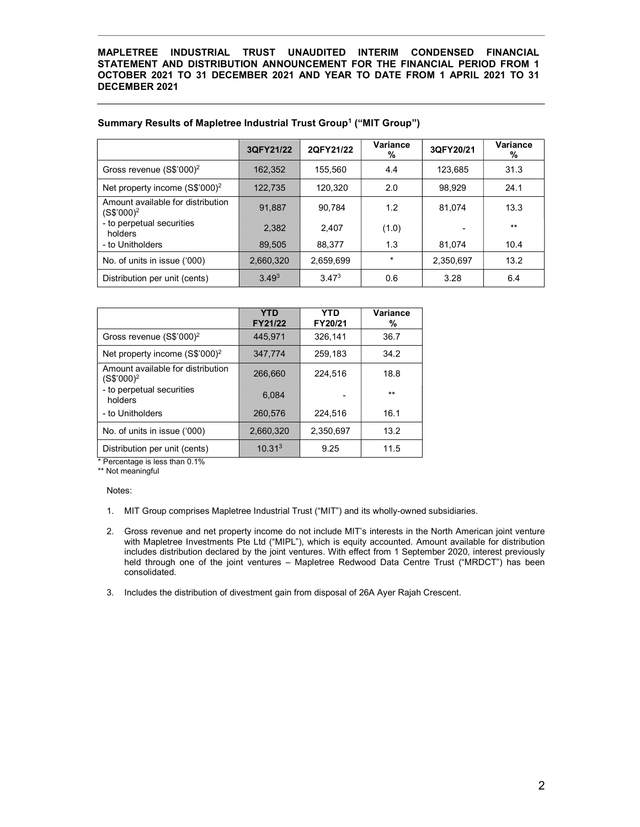|                                                             | 3QFY21/22  | 2QFY21/22         | Variance<br>% | 3QFY20/21 | Variance<br>% |
|-------------------------------------------------------------|------------|-------------------|---------------|-----------|---------------|
| Gross revenue $(S$'000)2$                                   | 162.352    | 155.560           | 4.4           | 123.685   | 31.3          |
| Net property income (S\$'000) <sup>2</sup>                  | 122.735    | 120.320           | 2.0           | 98,929    | 24.1          |
| Amount available for distribution<br>(S\$'000) <sup>2</sup> | 91,887     | 90.784            | 1.2           | 81.074    | 13.3          |
| - to perpetual securities<br>holders                        | 2.382      | 2.407             | (1.0)         |           | $**$          |
| - to Unitholders                                            | 89,505     | 88.377            | 1.3           | 81.074    | 10.4          |
| No. of units in issue ('000)                                | 2,660,320  | 2,659,699         | $\star$       | 2,350,697 | 13.2          |
| Distribution per unit (cents)                               | $3.49^{3}$ | 3.47 <sup>3</sup> | 0.6           | 3.28      | 6.4           |

# Summary Results of Mapletree Industrial Trust Group<sup>1</sup> ("MIT Group")

|                                                             | <b>YTD</b><br>FY21/22 | YTD<br>FY20/21 | Variance<br>% |
|-------------------------------------------------------------|-----------------------|----------------|---------------|
| Gross revenue (S\$'000) <sup>2</sup>                        | 445.971               | 326.141        | 36.7          |
| Net property income (S\$'000) <sup>2</sup>                  | 347,774               | 259,183        | 34.2          |
| Amount available for distribution<br>(S\$'000) <sup>2</sup> | 266,660               | 224.516        | 18.8          |
| - to perpetual securities<br>holders                        | 6.084                 |                | $**$          |
| - to Unitholders                                            | 260,576               | 224,516        | 16.1          |
| No. of units in issue ('000)                                | 2.660.320             | 2.350.697      | 13.2          |
| Distribution per unit (cents)                               | 10.31 <sup>3</sup>    | 9.25           | 11.5          |

\* Percentage is less than 0.1%

\*\* Not meaningful

Notes:

- 1. MIT Group comprises Mapletree Industrial Trust ("MIT") and its wholly-owned subsidiaries.
- 2. Gross revenue and net property income do not include MIT's interests in the North American joint venture with Mapletree Investments Pte Ltd ("MIPL"), which is equity accounted. Amount available for distribution includes distribution declared by the joint ventures. With effect from 1 September 2020, interest previously held through one of the joint ventures – Mapletree Redwood Data Centre Trust ("MRDCT") has been consolidated.
- 3. Includes the distribution of divestment gain from disposal of 26A Ayer Rajah Crescent.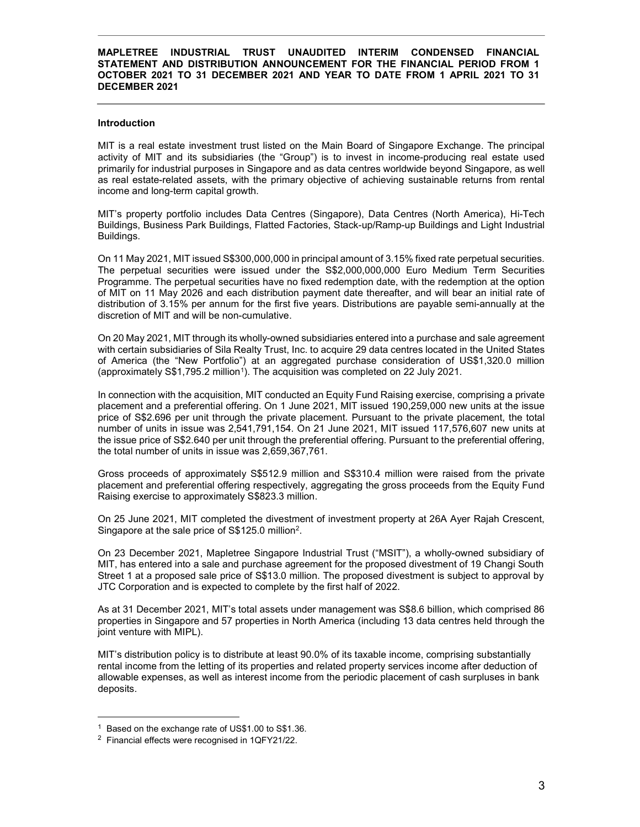#### Introduction

MIT is a real estate investment trust listed on the Main Board of Singapore Exchange. The principal activity of MIT and its subsidiaries (the "Group") is to invest in income-producing real estate used primarily for industrial purposes in Singapore and as data centres worldwide beyond Singapore, as well as real estate-related assets, with the primary objective of achieving sustainable returns from rental income and long-term capital growth.

MIT's property portfolio includes Data Centres (Singapore), Data Centres (North America), Hi-Tech Buildings, Business Park Buildings, Flatted Factories, Stack-up/Ramp-up Buildings and Light Industrial Buildings.

On 11 May 2021, MIT issued S\$300,000,000 in principal amount of 3.15% fixed rate perpetual securities. The perpetual securities were issued under the S\$2,000,000,000 Euro Medium Term Securities Programme. The perpetual securities have no fixed redemption date, with the redemption at the option of MIT on 11 May 2026 and each distribution payment date thereafter, and will bear an initial rate of distribution of 3.15% per annum for the first five years. Distributions are payable semi-annually at the discretion of MIT and will be non-cumulative.

On 20 May 2021, MIT through its wholly-owned subsidiaries entered into a purchase and sale agreement with certain subsidiaries of Sila Realty Trust, Inc. to acquire 29 data centres located in the United States of America (the "New Portfolio") at an aggregated purchase consideration of US\$1,320.0 million (approximately S\$1,795.2 million<sup>1</sup>). The acquisition was completed on 22 July 2021.

In connection with the acquisition, MIT conducted an Equity Fund Raising exercise, comprising a private placement and a preferential offering. On 1 June 2021, MIT issued 190,259,000 new units at the issue price of S\$2.696 per unit through the private placement. Pursuant to the private placement, the total number of units in issue was 2,541,791,154. On 21 June 2021, MIT issued 117,576,607 new units at the issue price of S\$2.640 per unit through the preferential offering. Pursuant to the preferential offering, the total number of units in issue was 2,659,367,761.

Gross proceeds of approximately S\$512.9 million and S\$310.4 million were raised from the private placement and preferential offering respectively, aggregating the gross proceeds from the Equity Fund Raising exercise to approximately S\$823.3 million.

On 25 June 2021, MIT completed the divestment of investment property at 26A Ayer Rajah Crescent, Singapore at the sale price of S\$125.0 million<sup>2</sup>.

On 23 December 2021, Mapletree Singapore Industrial Trust ("MSIT"), a wholly-owned subsidiary of MIT, has entered into a sale and purchase agreement for the proposed divestment of 19 Changi South Street 1 at a proposed sale price of S\$13.0 million. The proposed divestment is subject to approval by JTC Corporation and is expected to complete by the first half of 2022.

As at 31 December 2021, MIT's total assets under management was S\$8.6 billion, which comprised 86 properties in Singapore and 57 properties in North America (including 13 data centres held through the joint venture with MIPL).

MIT's distribution policy is to distribute at least 90.0% of its taxable income, comprising substantially rental income from the letting of its properties and related property services income after deduction of allowable expenses, as well as interest income from the periodic placement of cash surpluses in bank deposits.

-

<sup>&</sup>lt;sup>1</sup> Based on the exchange rate of US\$1.00 to S\$1.36.

<sup>&</sup>lt;sup>2</sup> Financial effects were recognised in 1QFY21/22.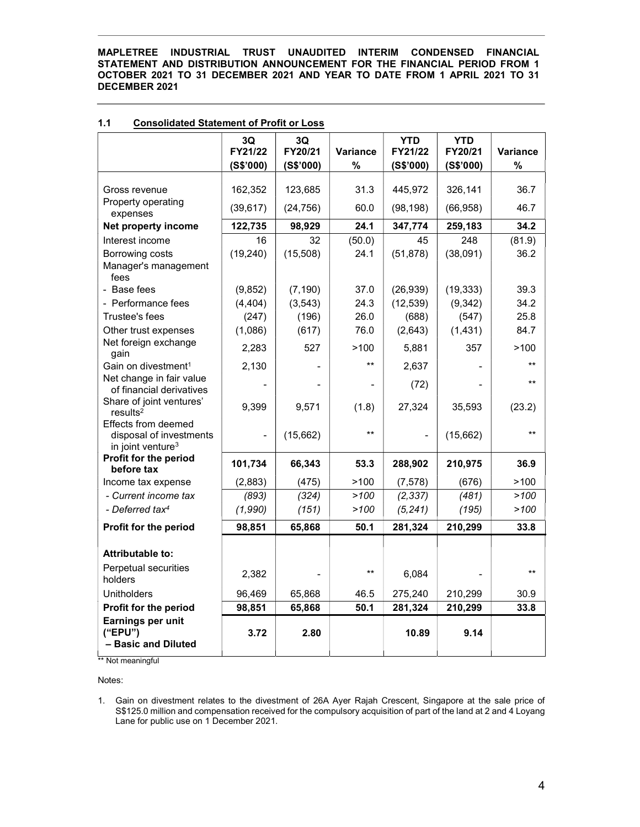|                                                                                 | 3Q<br>FY21/22  | 3Q<br>FY20/21 | <b>Variance</b> | <b>YTD</b><br>FY21/22 | <b>YTD</b><br>FY20/21 | Variance        |
|---------------------------------------------------------------------------------|----------------|---------------|-----------------|-----------------------|-----------------------|-----------------|
|                                                                                 | (S\$'000)      | (S\$'000)     | $\%$            | (S\$'000)             | (S\$'000)             | $\%$            |
|                                                                                 |                |               |                 |                       |                       |                 |
| Gross revenue                                                                   | 162,352        | 123,685       | 31.3            | 445,972               | 326,141               | 36.7            |
| Property operating<br>expenses                                                  | (39, 617)      | (24, 756)     | 60.0            | (98, 198)             | (66, 958)             | 46.7            |
| Net property income                                                             | 122,735        | 98,929        | 24.1            | 347,774               | 259,183               | 34.2            |
| Interest income                                                                 | 16             | 32            | (50.0)          | 45                    | 248                   | (81.9)          |
| Borrowing costs                                                                 | (19, 240)      | (15,508)      | 24.1            | (51, 878)             | (38,091)              | 36.2            |
| Manager's management<br>fees                                                    |                |               |                 |                       |                       |                 |
| - Base fees                                                                     | (9, 852)       | (7, 190)      | 37.0            | (26, 939)             | (19, 333)             | 39.3            |
| - Performance fees                                                              | (4, 404)       | (3, 543)      | 24.3            | (12, 539)             | (9, 342)              | 34.2            |
| Trustee's fees                                                                  | (247)          | (196)         | 26.0            | (688)                 | (547)                 | 25.8            |
| Other trust expenses                                                            | (1,086)        | (617)         | 76.0            | (2,643)               | (1,431)               | 84.7            |
| Net foreign exchange<br>gain                                                    | 2.283          | 527           | >100            | 5,881                 | 357                   | >100            |
| Gain on divestment <sup>1</sup>                                                 | 2,130          |               | $***$           | 2,637                 |                       | $**$            |
| Net change in fair value<br>of financial derivatives                            |                |               |                 | (72)                  |                       | $^{\star\star}$ |
| Share of joint ventures'<br>results <sup>2</sup>                                | 9,399          | 9,571         | (1.8)           | 27,324                | 35,593                | (23.2)          |
| Effects from deemed<br>disposal of investments<br>in joint venture <sup>3</sup> | $\overline{a}$ | (15,662)      | $**$            |                       | (15,662)              | $\star\star$    |
| Profit for the period<br>before tax                                             | 101,734        | 66,343        | 53.3            | 288,902               | 210,975               | 36.9            |
| Income tax expense                                                              | (2,883)        | (475)         | >100            | (7, 578)              | (676)                 | >100            |
| - Current income tax                                                            | (893)          | (324)         | >100            | (2, 337)              | (481)                 | >100            |
| - Deferred tax <sup>4</sup>                                                     | (1,990)        | (151)         | >100            | (5, 241)              | (195)                 | >100            |
| Profit for the period                                                           | 98,851         | 65,868        | 50.1            | 281,324               | 210,299               | 33.8            |
| <b>Attributable to:</b>                                                         |                |               |                 |                       |                       |                 |
| Perpetual securities                                                            |                |               |                 |                       |                       |                 |
| holders                                                                         | 2,382          |               | $**$            | 6,084                 |                       | $**$            |
| Unitholders                                                                     | 96,469         | 65,868        | 46.5            | 275,240               | 210,299               | 30.9            |
| Profit for the period                                                           | 98,851         | 65,868        | 50.1            | 281,324               | 210,299               | 33.8            |
| Earnings per unit<br>("EPU")<br>- Basic and Diluted                             | 3.72           | 2.80          |                 | 10.89                 | 9.14                  |                 |

# 1.1 Consolidated Statement of Profit or Loss

l<br>\*\* Not meaningful

Notes:

<sup>1.</sup> Gain on divestment relates to the divestment of 26A Ayer Rajah Crescent, Singapore at the sale price of S\$125.0 million and compensation received for the compulsory acquisition of part of the land at 2 and 4 Loyang Lane for public use on 1 December 2021.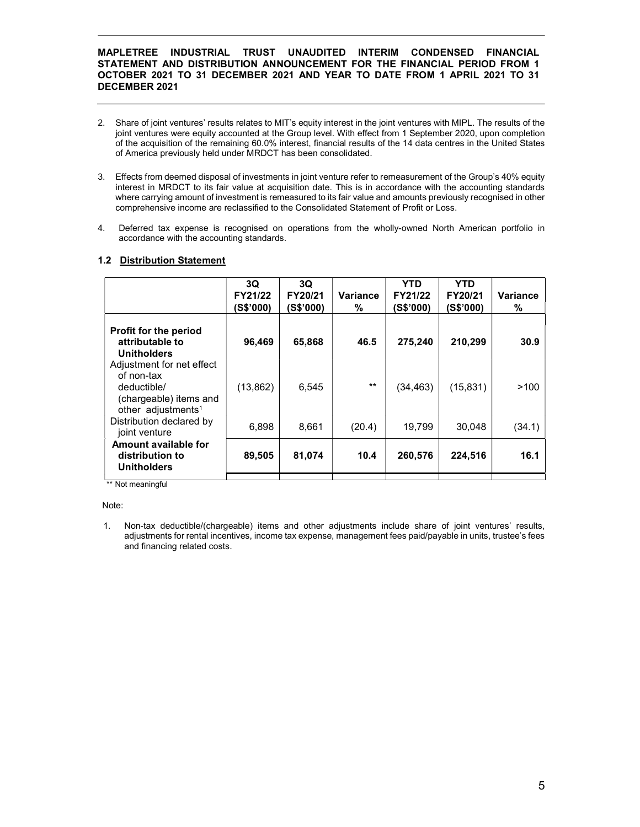- 2. Share of joint ventures' results relates to MIT's equity interest in the joint ventures with MIPL. The results of the joint ventures were equity accounted at the Group level. With effect from 1 September 2020, upon completion of the acquisition of the remaining 60.0% interest, financial results of the 14 data centres in the United States of America previously held under MRDCT has been consolidated.
- 3. Effects from deemed disposal of investments in joint venture refer to remeasurement of the Group's 40% equity interest in MRDCT to its fair value at acquisition date. This is in accordance with the accounting standards where carrying amount of investment is remeasured to its fair value and amounts previously recognised in other comprehensive income are reclassified to the Consolidated Statement of Profit or Loss.
- 4. Deferred tax expense is recognised on operations from the wholly-owned North American portfolio in accordance with the accounting standards.

# 1.2 Distribution Statement

|                                                                                                                    | 3Q<br>FY21/22<br>(S\$'000) | 3Q<br>FY20/21<br>(S\$'000) | <b>Variance</b><br>% | YTD<br>FY21/22<br>(S\$'000) | YTD<br>FY20/21<br>(S\$'000) | <b>Variance</b><br>% |
|--------------------------------------------------------------------------------------------------------------------|----------------------------|----------------------------|----------------------|-----------------------------|-----------------------------|----------------------|
| <b>Profit for the period</b><br>attributable to<br><b>Unitholders</b>                                              | 96,469                     | 65,868                     | 46.5                 | 275,240                     | 210,299                     | 30.9                 |
| Adjustment for net effect<br>of non-tax<br>deductible/<br>(chargeable) items and<br>other adjustments <sup>1</sup> | (13, 862)                  | 6.545                      | $**$                 | (34, 463)                   | (15, 831)                   | >100                 |
| Distribution declared by<br>joint venture                                                                          | 6,898                      | 8,661                      | (20.4)               | 19,799                      | 30,048                      | (34.1)               |
| Amount available for<br>distribution to<br><b>Unitholders</b>                                                      | 89,505                     | 81,074                     | 10.4                 | 260,576                     | 224,516                     | 16.1                 |

\*\* Not meaningful

Note:

1. Non-tax deductible/(chargeable) items and other adjustments include share of joint ventures' results, adjustments for rental incentives, income tax expense, management fees paid/payable in units, trustee's fees and financing related costs.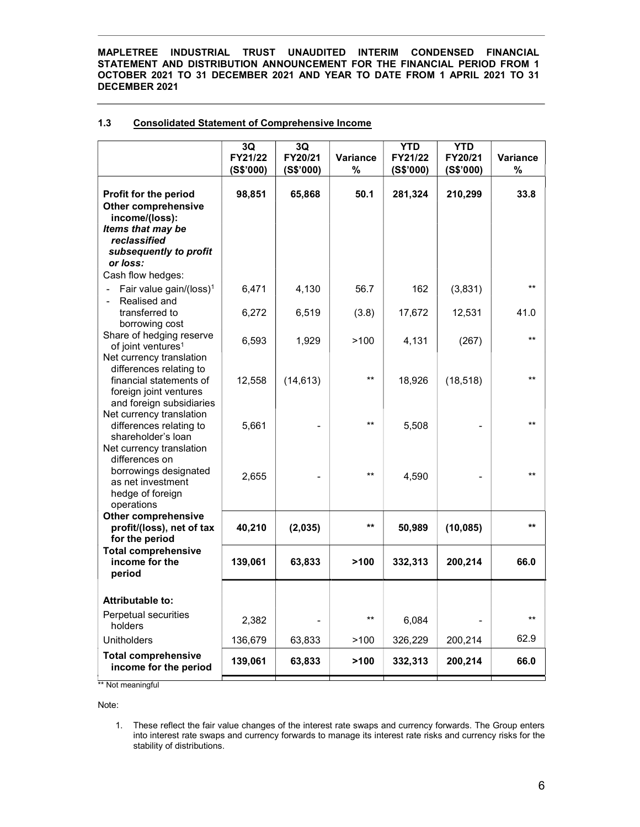# 1.3 Consolidated Statement of Comprehensive Income

|                                                                                                                                                                       | 3Q<br>FY21/22<br>(S\$'000) | 3Q<br>FY20/21<br>(S\$'000) | <b>Variance</b><br>% | <b>YTD</b><br>FY21/22<br>(S\$'000) | <b>YTD</b><br>FY20/21<br>(S\$'000) | <b>Variance</b><br>% |
|-----------------------------------------------------------------------------------------------------------------------------------------------------------------------|----------------------------|----------------------------|----------------------|------------------------------------|------------------------------------|----------------------|
| Profit for the period<br><b>Other comprehensive</b><br>income/(loss):<br>Items that may be<br>reclassified<br>subsequently to profit<br>or loss:<br>Cash flow hedges: | 98,851                     | 65,868                     | 50.1                 | 281,324                            | 210,299                            | 33.8                 |
| Fair value gain/(loss) <sup>1</sup><br>$\qquad \qquad \blacksquare$<br>Realised and                                                                                   | 6,471                      | 4,130                      | 56.7                 | 162                                | (3,831)                            | $***$                |
| transferred to<br>borrowing cost                                                                                                                                      | 6,272                      | 6,519                      | (3.8)                | 17,672                             | 12,531                             | 41.0                 |
| Share of hedging reserve<br>of joint ventures <sup>1</sup><br>Net currency translation                                                                                | 6,593                      | 1,929                      | >100                 | 4,131                              | (267)                              | $***$                |
| differences relating to<br>financial statements of<br>foreign joint ventures<br>and foreign subsidiaries                                                              | 12,558                     | (14, 613)                  | $***$                | 18,926                             | (18, 518)                          | $**$                 |
| Net currency translation<br>differences relating to<br>shareholder's loan<br>Net currency translation<br>differences on                                               | 5,661                      |                            | $***$                | 5,508                              |                                    | **                   |
| borrowings designated<br>as net investment<br>hedge of foreign<br>operations                                                                                          | 2,655                      |                            | $***$                | 4,590                              |                                    | $^{\star\star}$      |
| <b>Other comprehensive</b><br>profit/(loss), net of tax<br>for the period                                                                                             | 40,210                     | (2,035)                    | $***$                | 50,989                             | (10, 085)                          | $***$                |
| <b>Total comprehensive</b><br>income for the<br>period                                                                                                                | 139,061                    | 63,833                     | >100                 | 332,313                            | 200,214                            | 66.0                 |
| Attributable to:                                                                                                                                                      |                            |                            |                      |                                    |                                    |                      |
| Perpetual securities<br>holders                                                                                                                                       | 2,382                      |                            | $***$                | 6,084                              |                                    | $***$                |
| <b>Unitholders</b>                                                                                                                                                    | 136,679                    | 63,833                     | >100                 | 326,229                            | 200,214                            | 62.9                 |
| <b>Total comprehensive</b><br>income for the period<br>** Not meaningful                                                                                              | 139,061                    | 63,833                     | >100                 | 332,313                            | 200,214                            | 66.0                 |

Note:

1. These reflect the fair value changes of the interest rate swaps and currency forwards. The Group enters into interest rate swaps and currency forwards to manage its interest rate risks and currency risks for the stability of distributions.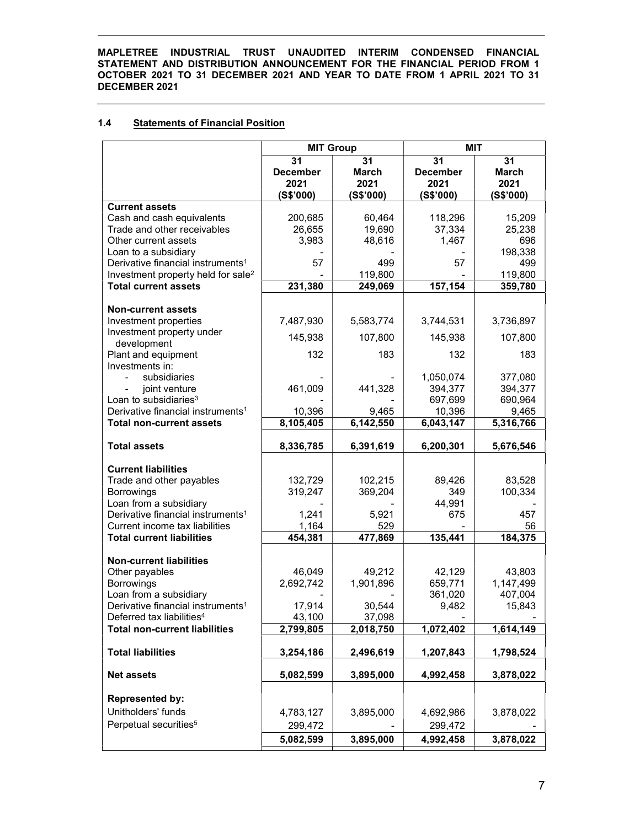# 1.4 Statements of Financial Position

|                                                                                    | <b>MIT Group</b>    |                    | <b>MIT</b>          |                    |  |
|------------------------------------------------------------------------------------|---------------------|--------------------|---------------------|--------------------|--|
|                                                                                    | 31                  | 31                 | 31                  | 31                 |  |
|                                                                                    | <b>December</b>     | <b>March</b>       | <b>December</b>     | <b>March</b>       |  |
|                                                                                    | 2021                | 2021               | 2021                | 2021               |  |
|                                                                                    | (S\$'000)           | (S\$'000)          | (S\$'000)           | (S\$'000)          |  |
| <b>Current assets</b>                                                              |                     |                    |                     |                    |  |
| Cash and cash equivalents                                                          | 200,685             | 60,464             | 118,296             | 15,209             |  |
| Trade and other receivables                                                        | 26,655              | 19,690             | 37,334              | 25,238             |  |
| Other current assets                                                               | 3,983               | 48,616             | 1,467               | 696                |  |
| Loan to a subsidiary<br>Derivative financial instruments <sup>1</sup>              | 57                  | 499                | 57                  | 198,338<br>499     |  |
| Investment property held for sale <sup>2</sup>                                     |                     | 119,800            |                     | 119,800            |  |
| <b>Total current assets</b>                                                        | 231,380             | 249,069            | 157,154             | 359,780            |  |
|                                                                                    |                     |                    |                     |                    |  |
| <b>Non-current assets</b>                                                          |                     |                    |                     |                    |  |
| Investment properties                                                              | 7,487,930           | 5,583,774          | 3,744,531           | 3,736,897          |  |
| Investment property under                                                          |                     |                    |                     |                    |  |
| development                                                                        | 145,938             | 107,800            | 145,938             | 107,800            |  |
| Plant and equipment                                                                | 132                 | 183                | 132                 | 183                |  |
| Investments in:                                                                    |                     |                    |                     |                    |  |
| subsidiaries                                                                       |                     |                    | 1,050,074           | 377,080            |  |
| joint venture                                                                      | 461,009             | 441,328            | 394,377             | 394,377            |  |
| Loan to subsidiaries <sup>3</sup><br>Derivative financial instruments <sup>1</sup> |                     |                    | 697,699             | 690,964            |  |
| <b>Total non-current assets</b>                                                    | 10,396<br>8,105,405 | 9,465<br>6,142,550 | 10,396<br>6,043,147 | 9,465<br>5,316,766 |  |
|                                                                                    |                     |                    |                     |                    |  |
| <b>Total assets</b>                                                                | 8,336,785           | 6,391,619          | 6,200,301           | 5,676,546          |  |
|                                                                                    |                     |                    |                     |                    |  |
| <b>Current liabilities</b>                                                         |                     |                    |                     |                    |  |
| Trade and other payables                                                           | 132,729             | 102,215            | 89,426              | 83,528             |  |
| <b>Borrowings</b>                                                                  | 319,247             | 369,204            | 349                 | 100,334            |  |
| Loan from a subsidiary                                                             |                     |                    | 44,991              |                    |  |
| Derivative financial instruments <sup>1</sup>                                      | 1,241               | 5,921              | 675                 | 457                |  |
| Current income tax liabilities                                                     | 1,164               | 529                |                     | 56                 |  |
| <b>Total current liabilities</b>                                                   | 454,381             | 477,869            | 135,441             | 184,375            |  |
|                                                                                    |                     |                    |                     |                    |  |
| <b>Non-current liabilities</b><br>Other payables                                   | 46,049              | 49,212             | 42,129              | 43,803             |  |
| Borrowings                                                                         | 2,692,742           | 1,901,896          | 659,771             | 1,147,499          |  |
| Loan from a subsidiary                                                             |                     |                    | 361,020             | 407,004            |  |
| Derivative financial instruments <sup>1</sup>                                      | 17,914              | 30,544             | 9,482               | 15,843             |  |
| Deferred tax liabilities <sup>4</sup>                                              | 43,100              | 37,098             |                     |                    |  |
| <b>Total non-current liabilities</b>                                               | 2,799,805           | 2,018,750          | 1,072,402           | 1,614,149          |  |
|                                                                                    |                     |                    |                     |                    |  |
| <b>Total liabilities</b>                                                           | 3,254,186           | 2,496,619          | 1,207,843           | 1,798,524          |  |
|                                                                                    |                     |                    |                     |                    |  |
| <b>Net assets</b>                                                                  | 5,082,599           | 3,895,000          | 4,992,458           | 3,878,022          |  |
| <b>Represented by:</b>                                                             |                     |                    |                     |                    |  |
| Unitholders' funds                                                                 | 4,783,127           |                    |                     |                    |  |
| Perpetual securities <sup>5</sup>                                                  |                     | 3,895,000          | 4,692,986           | 3,878,022          |  |
|                                                                                    | 299,472             |                    | 299,472             |                    |  |
|                                                                                    | 5,082,599           | 3,895,000          | 4,992,458           | 3,878,022          |  |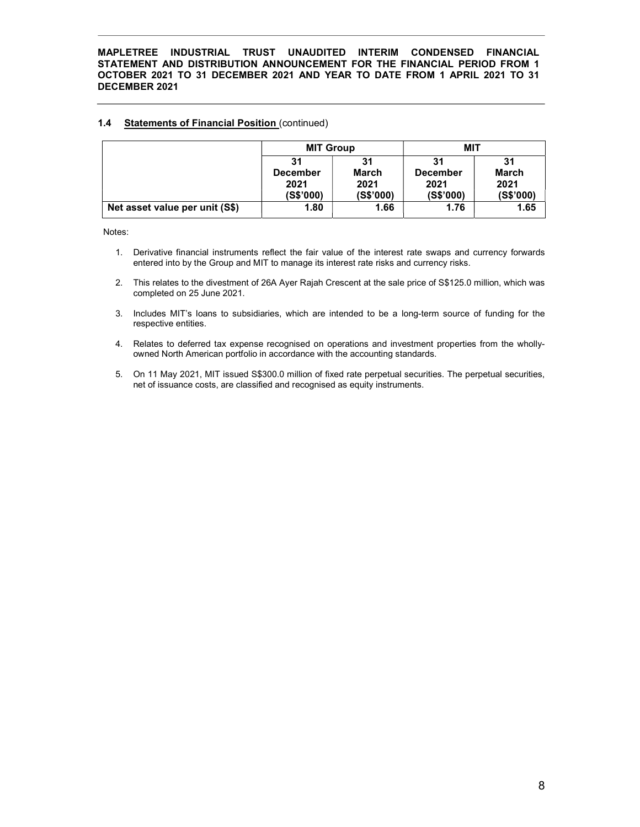# 1.4 Statements of Financial Position (continued)

|                                | <b>MIT Group</b> |           | MIT             |              |
|--------------------------------|------------------|-----------|-----------------|--------------|
|                                | 31               | 31        | 31              | 31           |
|                                | <b>December</b>  | March     | <b>December</b> | <b>March</b> |
|                                | 2021             | 2021      | 2021            | 2021         |
|                                | (S\$'000)        | (S\$'000) | (S\$'000)       | (S\$'000)    |
| Net asset value per unit (S\$) | 1.80             | 1.66      | 1.76            | 1.65         |

Notes:

- 1. Derivative financial instruments reflect the fair value of the interest rate swaps and currency forwards entered into by the Group and MIT to manage its interest rate risks and currency risks.
- 2. This relates to the divestment of 26A Ayer Rajah Crescent at the sale price of S\$125.0 million, which was completed on 25 June 2021.
- 3. Includes MIT's loans to subsidiaries, which are intended to be a long-term source of funding for the respective entities.
- 4. Relates to deferred tax expense recognised on operations and investment properties from the whollyowned North American portfolio in accordance with the accounting standards.
- 5. On 11 May 2021, MIT issued S\$300.0 million of fixed rate perpetual securities. The perpetual securities, net of issuance costs, are classified and recognised as equity instruments.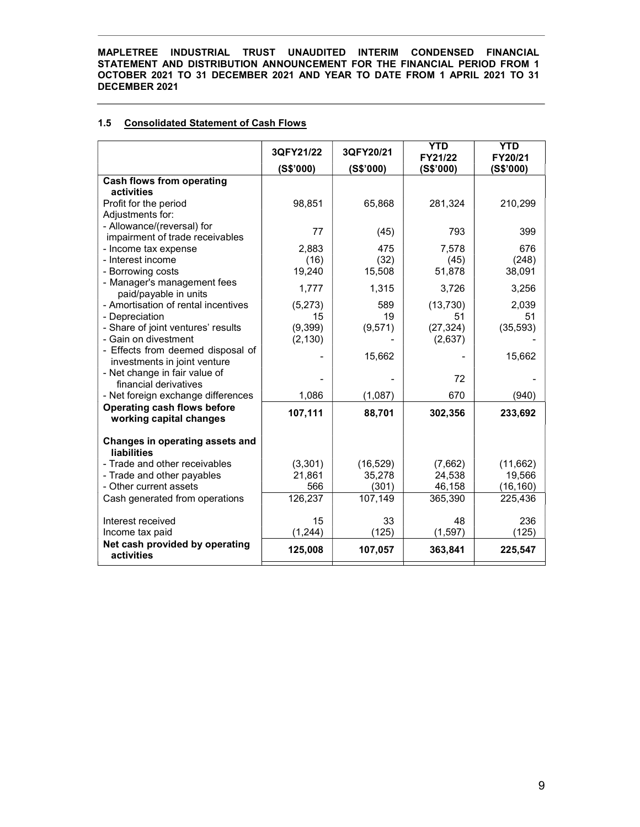# 1.5 Consolidated Statement of Cash Flows

|                                                               | 3QFY21/22      | 3QFY20/21      | <b>YTD</b><br>FY21/22 | <b>YTD</b><br>FY20/21 |
|---------------------------------------------------------------|----------------|----------------|-----------------------|-----------------------|
|                                                               | (S\$'000)      | (S\$'000)      | (S\$'000)             | (S\$'000)             |
| <b>Cash flows from operating</b>                              |                |                |                       |                       |
| activities                                                    |                |                |                       |                       |
| Profit for the period                                         | 98,851         | 65,868         | 281,324               | 210,299               |
| Adjustments for:                                              |                |                |                       |                       |
| - Allowance/(reversal) for                                    | 77             | (45)           | 793                   | 399                   |
| impairment of trade receivables                               |                |                |                       |                       |
| - Income tax expense<br>- Interest income                     | 2.883          | 475            | 7,578                 | 676                   |
| - Borrowing costs                                             | (16)<br>19,240 | (32)<br>15,508 | (45)<br>51,878        | (248)<br>38,091       |
| - Manager's management fees                                   |                |                |                       |                       |
| paid/payable in units                                         | 1,777          | 1,315          | 3,726                 | 3,256                 |
| - Amortisation of rental incentives                           | (5,273)        | 589            | (13, 730)             | 2.039                 |
| - Depreciation                                                | 15             | 19             | 51                    | 51                    |
| - Share of joint ventures' results                            | (9,399)        | (9,571)        | (27, 324)             | (35, 593)             |
| - Gain on divestment                                          | (2, 130)       |                | (2,637)               |                       |
| - Effects from deemed disposal of                             |                | 15,662         |                       | 15,662                |
| investments in joint venture                                  |                |                |                       |                       |
| - Net change in fair value of                                 |                |                | 72                    |                       |
| financial derivatives                                         |                |                |                       |                       |
| - Net foreign exchange differences                            | 1,086          | (1,087)        | 670                   | (940)                 |
| <b>Operating cash flows before</b><br>working capital changes | 107,111        | 88,701         | 302,356               | 233,692               |
|                                                               |                |                |                       |                       |
| Changes in operating assets and                               |                |                |                       |                       |
| <b>liabilities</b>                                            |                |                |                       |                       |
| - Trade and other receivables                                 | (3,301)        | (16, 529)      | (7,662)               | (11,662)              |
| - Trade and other payables                                    | 21,861         | 35,278         | 24,538                | 19,566                |
| - Other current assets                                        | 566            | (301)          | 46,158                | (16, 160)             |
| Cash generated from operations                                | 126,237        | 107,149        | 365,390               | 225,436               |
|                                                               |                |                |                       |                       |
| Interest received                                             | 15             | 33             | 48                    | 236                   |
| Income tax paid                                               | (1, 244)       | (125)          | (1, 597)              | (125)                 |
| Net cash provided by operating<br>activities                  | 125,008        | 107,057        | 363,841               | 225,547               |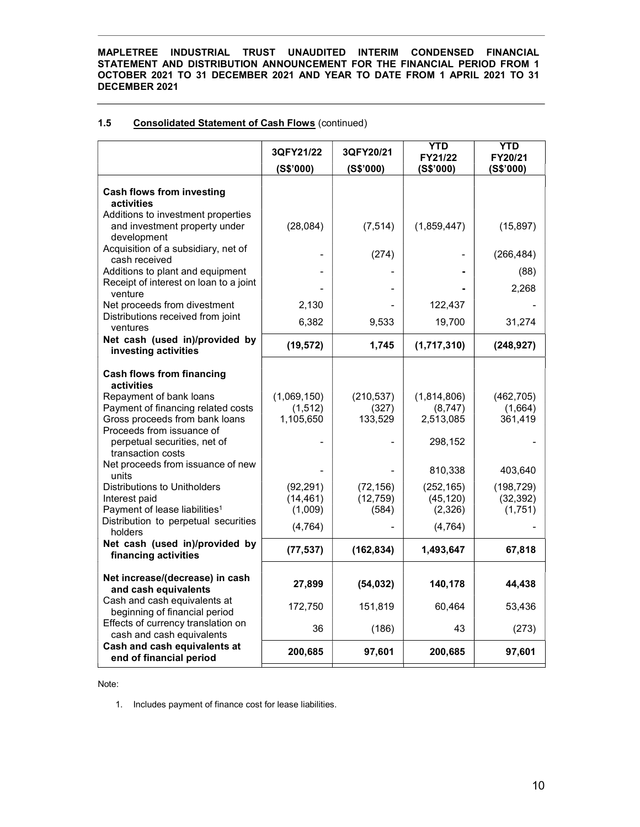# 1.5 Consolidated Statement of Cash Flows (continued)

|                                                                                                                              | 3QFY21/22<br>(S\$'000)               | 3QFY20/21<br>(S\$'000)          | <b>YTD</b><br>FY21/22<br>(S\$'000)  | <b>YTD</b><br>FY20/21<br>(S\$'000) |
|------------------------------------------------------------------------------------------------------------------------------|--------------------------------------|---------------------------------|-------------------------------------|------------------------------------|
| <b>Cash flows from investing</b><br>activities                                                                               |                                      |                                 |                                     |                                    |
| Additions to investment properties<br>and investment property under<br>development                                           | (28, 084)                            | (7, 514)                        | (1,859,447)                         | (15, 897)                          |
| Acquisition of a subsidiary, net of<br>cash received                                                                         |                                      | (274)                           |                                     | (266, 484)                         |
| Additions to plant and equipment<br>Receipt of interest on loan to a joint<br>venture                                        |                                      |                                 |                                     | (88)<br>2,268                      |
| Net proceeds from divestment<br>Distributions received from joint                                                            | 2,130                                |                                 | 122,437                             |                                    |
| ventures                                                                                                                     | 6,382                                | 9,533                           | 19,700                              | 31,274                             |
| Net cash (used in)/provided by<br>investing activities                                                                       | (19, 572)                            | 1,745                           | (1,717,310)                         | (248, 927)                         |
| <b>Cash flows from financing</b><br>activities                                                                               |                                      |                                 |                                     |                                    |
| Repayment of bank loans<br>Payment of financing related costs<br>Gross proceeds from bank loans<br>Proceeds from issuance of | (1,069,150)<br>(1, 512)<br>1,105,650 | (210, 537)<br>(327)<br>133,529  | (1,814,806)<br>(8,747)<br>2,513,085 | (462, 705)<br>(1,664)<br>361,419   |
| perpetual securities, net of<br>transaction costs                                                                            |                                      |                                 | 298,152                             |                                    |
| Net proceeds from issuance of new<br>units                                                                                   |                                      |                                 | 810,338                             | 403,640                            |
| Distributions to Unitholders<br>Interest paid<br>Payment of lease liabilities <sup>1</sup>                                   | (92, 291)<br>(14, 461)<br>(1,009)    | (72, 156)<br>(12, 759)<br>(584) | (252, 165)<br>(45, 120)<br>(2,326)  | (198, 729)<br>(32, 392)<br>(1,751) |
| Distribution to perpetual securities<br>holders                                                                              | (4, 764)                             |                                 | (4, 764)                            |                                    |
| Net cash (used in)/provided by<br>financing activities                                                                       | (77, 537)                            | (162, 834)                      | 1,493,647                           | 67,818                             |
| Net increase/(decrease) in cash<br>and cash equivalents                                                                      | 27,899                               | (54, 032)                       | 140,178                             | 44,438                             |
| Cash and cash equivalents at<br>beginning of financial period                                                                | 172,750                              | 151,819                         | 60,464                              | 53,436                             |
| Effects of currency translation on<br>cash and cash equivalents                                                              | 36                                   | (186)                           | 43                                  | (273)                              |
| Cash and cash equivalents at<br>end of financial period                                                                      | 200,685                              | 97,601                          | 200,685                             | 97,601                             |

Note:

1. Includes payment of finance cost for lease liabilities.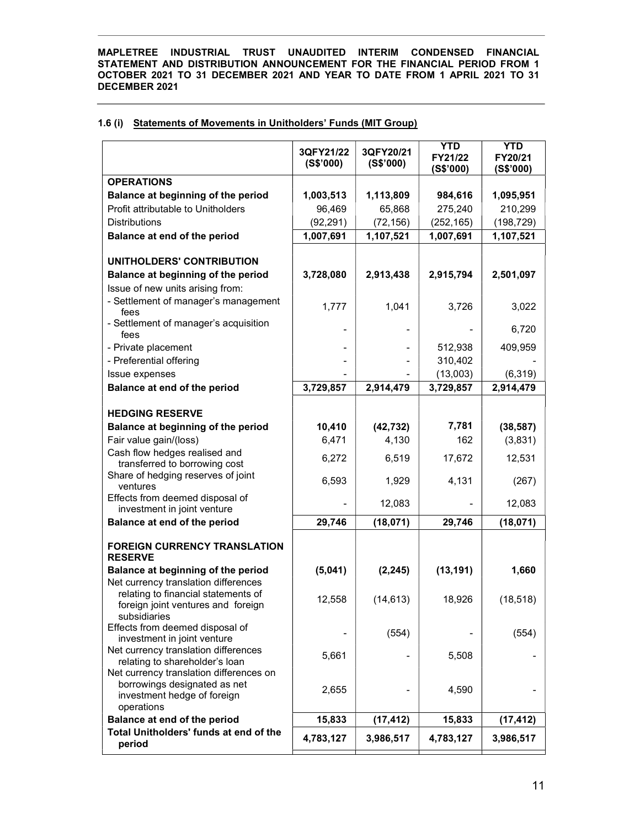|  |  | 1.6 (i) Statements of Movements in Unitholders' Funds (MIT Group) |  |  |  |
|--|--|-------------------------------------------------------------------|--|--|--|
|--|--|-------------------------------------------------------------------|--|--|--|

|                                                                                                                      | 3QFY21/22<br>(S\$'000) | 3QFY20/21<br>(S\$'000) | <b>YTD</b><br>FY21/22<br>(S\$'000) | <b>YTD</b><br>FY20/21<br>(S\$'000) |
|----------------------------------------------------------------------------------------------------------------------|------------------------|------------------------|------------------------------------|------------------------------------|
| <b>OPERATIONS</b>                                                                                                    |                        |                        |                                    |                                    |
| Balance at beginning of the period                                                                                   | 1,003,513              | 1,113,809              | 984,616                            | 1,095,951                          |
| Profit attributable to Unitholders                                                                                   | 96,469                 | 65,868                 | 275,240                            | 210,299                            |
| <b>Distributions</b>                                                                                                 | (92, 291)              | (72, 156)              | (252, 165)                         | (198, 729)                         |
| Balance at end of the period                                                                                         | 1,007,691              | 1,107,521              | 1,007,691                          | 1,107,521                          |
|                                                                                                                      |                        |                        |                                    |                                    |
| UNITHOLDERS' CONTRIBUTION                                                                                            |                        |                        |                                    |                                    |
| Balance at beginning of the period                                                                                   | 3,728,080              | 2,913,438              | 2,915,794                          | 2,501,097                          |
| Issue of new units arising from:                                                                                     |                        |                        |                                    |                                    |
| - Settlement of manager's management<br>fees                                                                         | 1,777                  | 1,041                  | 3,726                              | 3,022                              |
| - Settlement of manager's acquisition<br>fees                                                                        |                        |                        |                                    | 6,720                              |
| - Private placement                                                                                                  |                        |                        | 512,938                            | 409,959                            |
| - Preferential offering                                                                                              |                        |                        | 310,402                            |                                    |
| Issue expenses                                                                                                       |                        |                        | (13,003)                           | (6, 319)                           |
| Balance at end of the period                                                                                         | 3,729,857              | 2,914,479              | 3,729,857                          | 2,914,479                          |
| <b>HEDGING RESERVE</b>                                                                                               |                        |                        |                                    |                                    |
| Balance at beginning of the period                                                                                   | 10,410                 | (42, 732)              | 7,781                              | (38, 587)                          |
| Fair value gain/(loss)                                                                                               | 6,471                  | 4,130                  | 162                                | (3,831)                            |
| Cash flow hedges realised and<br>transferred to borrowing cost                                                       | 6,272                  | 6,519                  | 17,672                             | 12,531                             |
| Share of hedging reserves of joint<br>ventures                                                                       | 6,593                  | 1,929                  | 4,131                              | (267)                              |
| Effects from deemed disposal of<br>investment in joint venture                                                       |                        | 12,083                 |                                    | 12,083                             |
| Balance at end of the period                                                                                         | 29,746                 | (18,071)               | 29,746                             | (18,071)                           |
| <b>FOREIGN CURRENCY TRANSLATION</b><br><b>RESERVE</b>                                                                |                        |                        |                                    |                                    |
| Balance at beginning of the period<br>Net currency translation differences                                           | (5,041)                | (2, 245)               | (13, 191)                          | 1,660                              |
| relating to financial statements of<br>foreign joint ventures and foreign<br>subsidiaries                            | 12,558                 | (14, 613)              | 18,926                             | (18, 518)                          |
| Effects from deemed disposal of<br>investment in joint venture                                                       |                        | (554)                  |                                    | (554)                              |
| Net currency translation differences<br>relating to shareholder's loan                                               | 5,661                  |                        | 5,508                              |                                    |
| Net currency translation differences on<br>borrowings designated as net<br>investment hedge of foreign<br>operations | 2,655                  |                        | 4,590                              |                                    |
| Balance at end of the period                                                                                         | 15,833                 | (17, 412)              | 15,833                             |                                    |
| Total Unitholders' funds at end of the                                                                               |                        |                        |                                    | (17, 412)                          |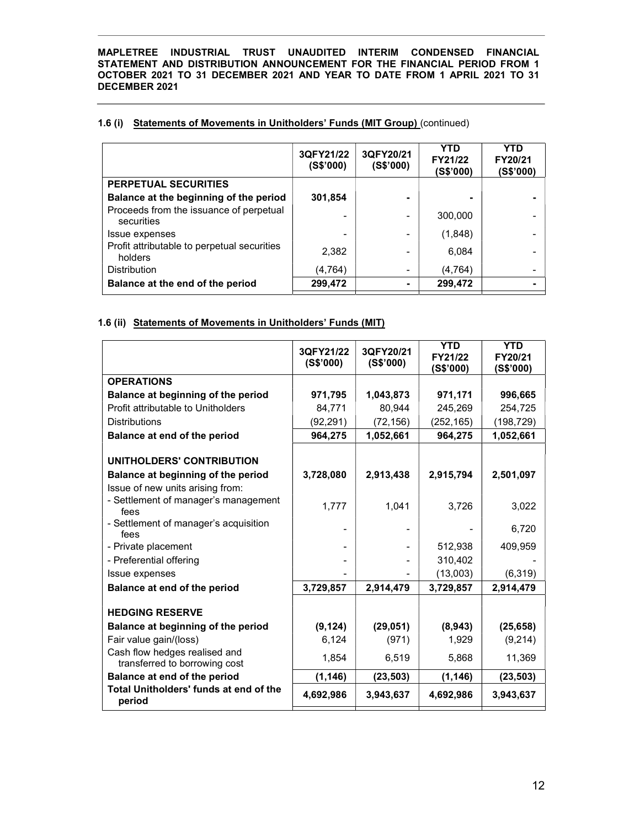|                                                        | 3QFY21/22<br>(S\$'000) | 3QFY20/21<br>(S\$'000) | YTD<br>FY21/22<br>(S\$'000) | YTD<br>FY20/21<br>(S\$'000) |
|--------------------------------------------------------|------------------------|------------------------|-----------------------------|-----------------------------|
| <b>PERPETUAL SECURITIES</b>                            |                        |                        |                             |                             |
| Balance at the beginning of the period                 | 301,854                |                        | ۰                           |                             |
| Proceeds from the issuance of perpetual<br>securities  |                        |                        | 300,000                     |                             |
| Issue expenses                                         |                        |                        | (1,848)                     |                             |
| Profit attributable to perpetual securities<br>holders | 2,382                  |                        | 6,084                       |                             |
| <b>Distribution</b>                                    | (4,764)                |                        | (4, 764)                    |                             |
| Balance at the end of the period                       | 299,472                |                        | 299,472                     |                             |

# 1.6 (i) Statements of Movements in Unitholders' Funds (MIT Group) (continued)

# 1.6 (ii) Statements of Movements in Unitholders' Funds (MIT)

|                                                                | 3QFY21/22<br>(S\$'000) | 3QFY20/21<br>(S\$'000) | <b>YTD</b><br>FY21/22<br>(S\$'000) | <b>YTD</b><br>FY20/21<br>(S\$'000) |
|----------------------------------------------------------------|------------------------|------------------------|------------------------------------|------------------------------------|
| <b>OPERATIONS</b>                                              |                        |                        |                                    |                                    |
| Balance at beginning of the period                             | 971,795                | 1,043,873              | 971,171                            | 996,665                            |
| Profit attributable to Unitholders                             | 84,771                 | 80,944                 | 245,269                            | 254,725                            |
| <b>Distributions</b>                                           | (92, 291)              | (72, 156)              | (252,165)                          | (198, 729)                         |
| Balance at end of the period                                   | 964,275                | 1,052,661              | 964,275                            | 1,052,661                          |
| UNITHOLDERS' CONTRIBUTION                                      |                        |                        |                                    |                                    |
| Balance at beginning of the period                             | 3,728,080              | 2,913,438              | 2,915,794                          | 2,501,097                          |
| Issue of new units arising from:                               |                        |                        |                                    |                                    |
| - Settlement of manager's management<br>fees                   | 1,777                  | 1,041                  | 3,726                              | 3,022                              |
| - Settlement of manager's acquisition<br>fees                  |                        |                        |                                    | 6,720                              |
| - Private placement                                            |                        |                        | 512,938                            | 409,959                            |
| - Preferential offering                                        |                        |                        | 310,402                            |                                    |
| Issue expenses                                                 |                        |                        | (13,003)                           | (6,319)                            |
| Balance at end of the period                                   | 3,729,857              | 2,914,479              | 3,729,857                          | 2,914,479                          |
| <b>HEDGING RESERVE</b>                                         |                        |                        |                                    |                                    |
| Balance at beginning of the period                             | (9, 124)               | (29, 051)              | (8,943)                            | (25, 658)                          |
| Fair value gain/(loss)                                         | 6,124                  | (971)                  | 1,929                              | (9,214)                            |
| Cash flow hedges realised and<br>transferred to borrowing cost | 1,854                  | 6,519                  | 5,868                              | 11,369                             |
| Balance at end of the period                                   | (1, 146)               | (23, 503)              | (1, 146)                           | (23, 503)                          |
| Total Unitholders' funds at end of the<br>period               | 4,692,986              | 3,943,637              | 4,692,986                          | 3,943,637                          |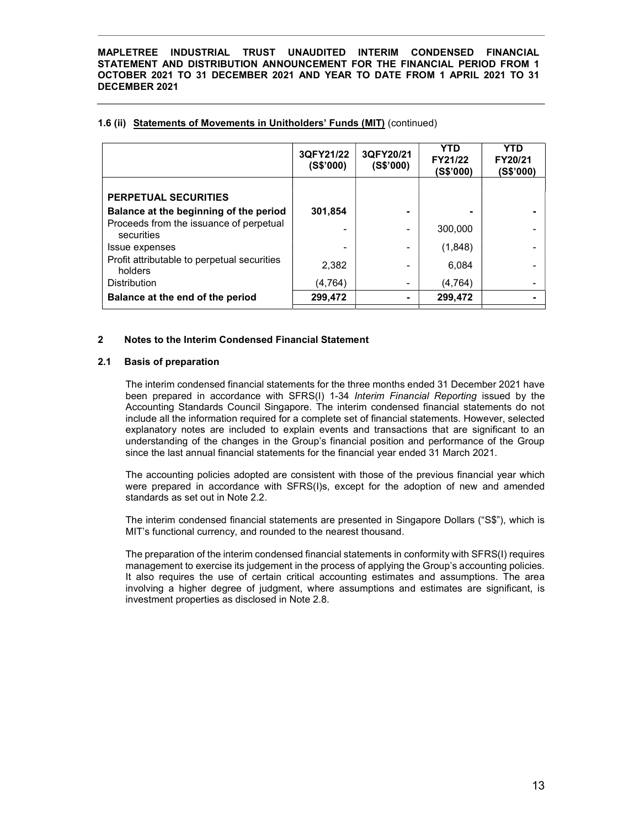|                                                        | 3QFY21/22<br>(S\$'000) | 3QFY20/21<br>(S\$'000) | <b>YTD</b><br>FY21/22<br>(S\$'000) | YTD<br>FY20/21<br>(S\$'000) |
|--------------------------------------------------------|------------------------|------------------------|------------------------------------|-----------------------------|
| <b>PERPETUAL SECURITIES</b>                            |                        |                        |                                    |                             |
| Balance at the beginning of the period                 | 301.854                |                        |                                    |                             |
| Proceeds from the issuance of perpetual<br>securities  |                        |                        | 300,000                            |                             |
| Issue expenses                                         |                        |                        | (1,848)                            |                             |
| Profit attributable to perpetual securities<br>holders | 2,382                  |                        | 6,084                              |                             |
| <b>Distribution</b>                                    | (4,764)                |                        | (4,764)                            |                             |
| Balance at the end of the period                       | 299,472                |                        | 299.472                            |                             |

## 1.6 (ii) Statements of Movements in Unitholders' Funds (MIT) (continued)

## 2 Notes to the Interim Condensed Financial Statement

## 2.1 Basis of preparation

The interim condensed financial statements for the three months ended 31 December 2021 have been prepared in accordance with SFRS(I) 1-34 Interim Financial Reporting issued by the Accounting Standards Council Singapore. The interim condensed financial statements do not include all the information required for a complete set of financial statements. However, selected explanatory notes are included to explain events and transactions that are significant to an understanding of the changes in the Group's financial position and performance of the Group since the last annual financial statements for the financial year ended 31 March 2021.

The accounting policies adopted are consistent with those of the previous financial year which were prepared in accordance with SFRS(I)s, except for the adoption of new and amended standards as set out in Note 2.2.

The interim condensed financial statements are presented in Singapore Dollars ("S\$"), which is MIT's functional currency, and rounded to the nearest thousand.

The preparation of the interim condensed financial statements in conformity with SFRS(I) requires management to exercise its judgement in the process of applying the Group's accounting policies. It also requires the use of certain critical accounting estimates and assumptions. The area involving a higher degree of judgment, where assumptions and estimates are significant, is investment properties as disclosed in Note 2.8.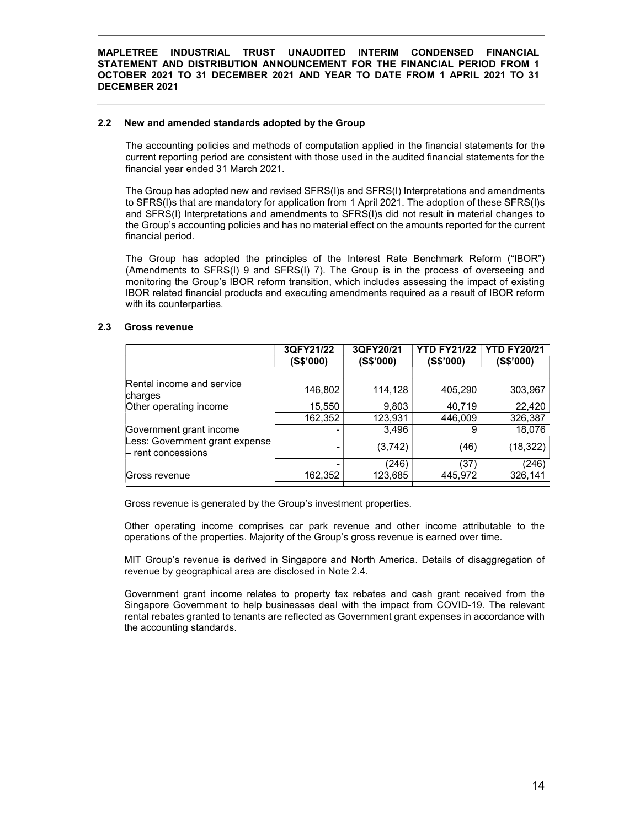#### 2.2 New and amended standards adopted by the Group

The accounting policies and methods of computation applied in the financial statements for the current reporting period are consistent with those used in the audited financial statements for the financial year ended 31 March 2021.

The Group has adopted new and revised SFRS(I)s and SFRS(I) Interpretations and amendments to SFRS(I)s that are mandatory for application from 1 April 2021. The adoption of these SFRS(I)s and SFRS(I) Interpretations and amendments to SFRS(I)s did not result in material changes to the Group's accounting policies and has no material effect on the amounts reported for the current financial period.

The Group has adopted the principles of the Interest Rate Benchmark Reform ("IBOR") (Amendments to SFRS(I) 9 and SFRS(I) 7). The Group is in the process of overseeing and monitoring the Group's IBOR reform transition, which includes assessing the impact of existing IBOR related financial products and executing amendments required as a result of IBOR reform with its counterparties.

# 2.3 Gross revenue

|                                                        | 3QFY21/22<br>(S\$'000) | 3QFY20/21<br>(S\$'000) | <b>YTD FY21/22</b><br>(S\$'000) | <b>YTD FY20/21</b><br>(S\$'000) |
|--------------------------------------------------------|------------------------|------------------------|---------------------------------|---------------------------------|
| Rental income and service<br>charges                   | 146,802                | 114,128                | 405,290                         | 303,967                         |
| Other operating income                                 | 15,550                 | 9,803                  | 40,719                          | 22,420                          |
|                                                        | 162,352                | 123,931                | 446,009                         | 326,387                         |
| Government grant income                                |                        | 3,496                  | 9                               | 18,076                          |
| Less: Government grant expense<br>$-$ rent concessions |                        | (3,742)                | (46)                            | (18, 322)                       |
|                                                        |                        | (246)                  | (37)                            | (246)                           |
| Gross revenue                                          | 162,352                | 123,685                | 445,972                         | 326,141                         |
|                                                        |                        |                        |                                 |                                 |

Gross revenue is generated by the Group's investment properties.

Other operating income comprises car park revenue and other income attributable to the operations of the properties. Majority of the Group's gross revenue is earned over time.

MIT Group's revenue is derived in Singapore and North America. Details of disaggregation of revenue by geographical area are disclosed in Note 2.4.

Government grant income relates to property tax rebates and cash grant received from the Singapore Government to help businesses deal with the impact from COVID-19. The relevant rental rebates granted to tenants are reflected as Government grant expenses in accordance with the accounting standards.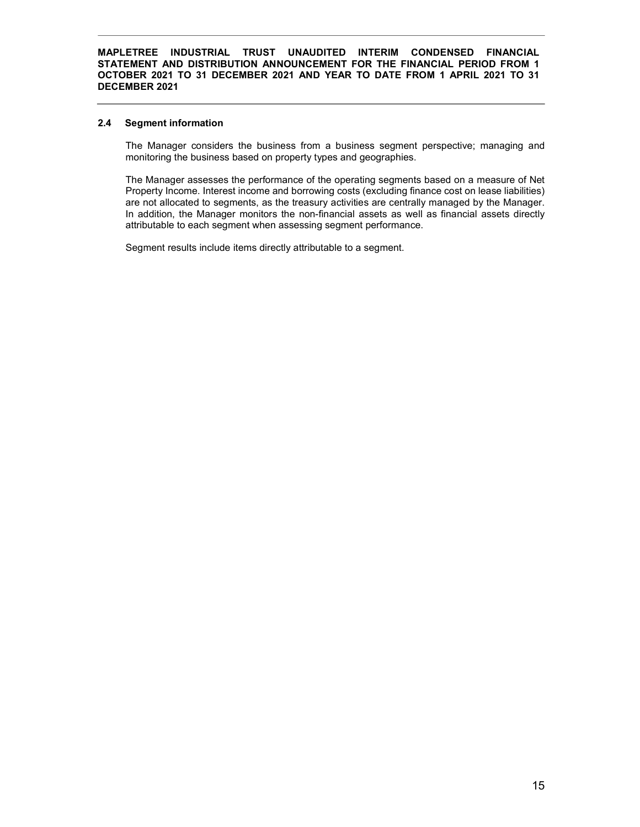#### 2.4 Segment information

The Manager considers the business from a business segment perspective; managing and monitoring the business based on property types and geographies.

The Manager assesses the performance of the operating segments based on a measure of Net Property Income. Interest income and borrowing costs (excluding finance cost on lease liabilities) are not allocated to segments, as the treasury activities are centrally managed by the Manager. In addition, the Manager monitors the non-financial assets as well as financial assets directly attributable to each segment when assessing segment performance.

Segment results include items directly attributable to a segment.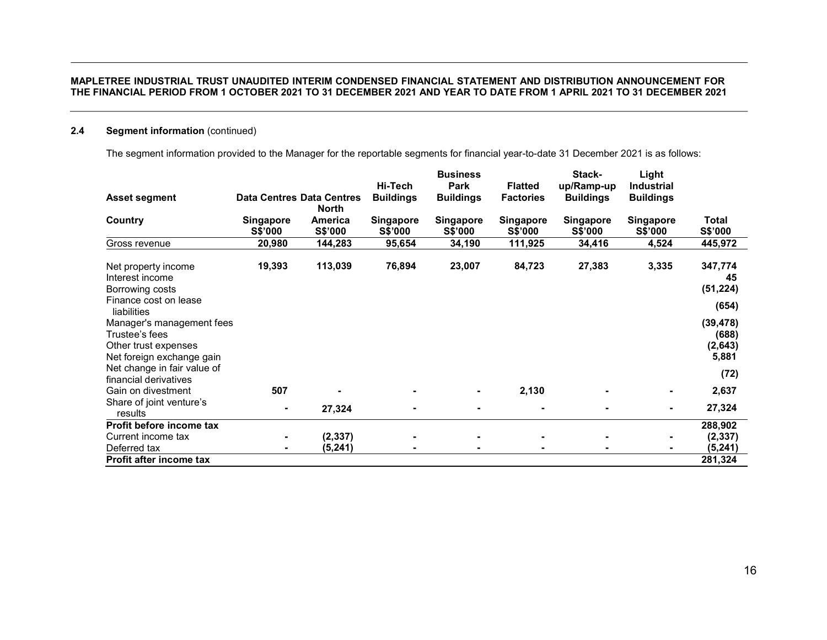# 2.4 Segment information (continued)

The segment information provided to the Manager for the reportable segments for financial year-to-date 31 December 2021 is as follows:

| <b>Asset segment</b>                                                                             | <b>Data Centres Data Centres</b>   |                    | Hi-Tech<br><b>Buildings</b>        | <b>Business</b><br>Park<br><b>Buildings</b> | <b>Flatted</b><br><b>Factories</b> | Stack-<br>up/Ramp-up<br><b>Buildings</b> | Light<br><b>Industrial</b><br><b>Buildings</b> |                                        |
|--------------------------------------------------------------------------------------------------|------------------------------------|--------------------|------------------------------------|---------------------------------------------|------------------------------------|------------------------------------------|------------------------------------------------|----------------------------------------|
|                                                                                                  |                                    | <b>North</b>       |                                    |                                             |                                    |                                          |                                                |                                        |
| Country                                                                                          | <b>Singapore</b><br><b>S\$'000</b> | America<br>S\$'000 | <b>Singapore</b><br><b>S\$'000</b> | <b>Singapore</b><br><b>S\$'000</b>          | <b>Singapore</b><br><b>S\$'000</b> | <b>Singapore</b><br><b>S\$'000</b>       | <b>Singapore</b><br><b>S\$'000</b>             | Total<br>S\$'000                       |
| Gross revenue                                                                                    | 20,980                             | 144,283            | 95,654                             | 34,190                                      | 111,925                            | 34,416                                   | 4,524                                          | 445,972                                |
| Net property income<br>Interest income                                                           | 19,393                             | 113,039            | 76,894                             | 23,007                                      | 84,723                             | 27,383                                   | 3,335                                          | 347,774<br>45                          |
| Borrowing costs<br>Finance cost on lease                                                         |                                    |                    |                                    |                                             |                                    |                                          |                                                | (51, 224)                              |
| liabilities                                                                                      |                                    |                    |                                    |                                             |                                    |                                          |                                                | (654)                                  |
| Manager's management fees<br>Trustee's fees<br>Other trust expenses<br>Net foreign exchange gain |                                    |                    |                                    |                                             |                                    |                                          |                                                | (39, 478)<br>(688)<br>(2,643)<br>5,881 |
| Net change in fair value of                                                                      |                                    |                    |                                    |                                             |                                    |                                          |                                                | (72)                                   |
| financial derivatives<br>Gain on divestment                                                      | 507                                |                    |                                    | $\blacksquare$                              | 2,130                              |                                          | $\blacksquare$                                 | 2,637                                  |
| Share of joint venture's<br>results                                                              | $\blacksquare$                     | 27,324             |                                    |                                             |                                    |                                          | $\blacksquare$                                 | 27,324                                 |
| Profit before income tax                                                                         |                                    |                    |                                    |                                             |                                    |                                          |                                                | 288,902                                |
| Current income tax                                                                               | $\blacksquare$                     | (2, 337)           |                                    |                                             |                                    |                                          |                                                | (2, 337)                               |
| Deferred tax                                                                                     |                                    | (5, 241)           |                                    |                                             |                                    |                                          |                                                | (5, 241)                               |
| Profit after income tax                                                                          |                                    |                    |                                    |                                             |                                    |                                          |                                                | 281,324                                |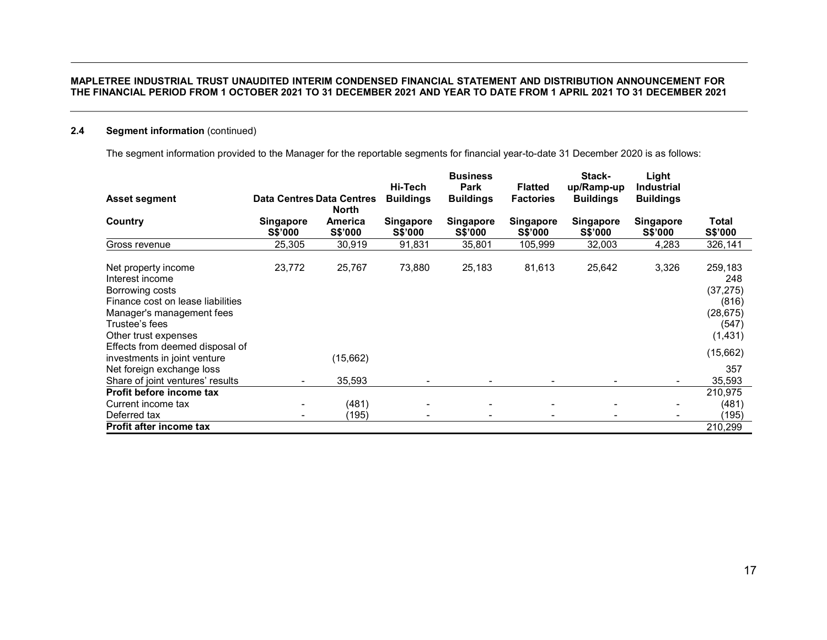# 2.4 Segment information (continued)

The segment information provided to the Manager for the reportable segments for financial year-to-date 31 December 2020 is as follows:

|                                                                                                                                                                       |                                    |                    | Hi-Tech                     | <b>Business</b><br><b>Park</b> | <b>Flatted</b>              | Stack-<br>up/Ramp-up               | Light<br><b>Industrial</b>         |                                                                        |
|-----------------------------------------------------------------------------------------------------------------------------------------------------------------------|------------------------------------|--------------------|-----------------------------|--------------------------------|-----------------------------|------------------------------------|------------------------------------|------------------------------------------------------------------------|
| <b>Asset segment</b>                                                                                                                                                  | <b>Data Centres Data Centres</b>   | North              | <b>Buildings</b>            | <b>Buildings</b>               | <b>Factories</b>            | <b>Buildings</b>                   | <b>Buildings</b>                   |                                                                        |
| Country                                                                                                                                                               | <b>Singapore</b><br><b>S\$'000</b> | America<br>S\$'000 | <b>Singapore</b><br>S\$'000 | Singapore<br><b>S\$'000</b>    | <b>Singapore</b><br>S\$'000 | <b>Singapore</b><br><b>S\$'000</b> | <b>Singapore</b><br><b>S\$'000</b> | Total<br>S\$'000                                                       |
| Gross revenue                                                                                                                                                         | 25,305                             | 30,919             | 91,831                      | 35,801                         | 105,999                     | 32,003                             | 4,283                              | 326,141                                                                |
| Net property income<br>Interest income<br>Borrowing costs<br>Finance cost on lease liabilities<br>Manager's management fees<br>Trustee's fees<br>Other trust expenses | 23,772                             | 25,767             | 73,880                      | 25,183                         | 81,613                      | 25,642                             | 3,326                              | 259,183<br>248<br>(37, 275)<br>(816)<br>(28, 675)<br>(547)<br>(1, 431) |
| Effects from deemed disposal of<br>investments in joint venture                                                                                                       |                                    | (15,662)           |                             |                                |                             |                                    |                                    | (15,662)                                                               |
| Net foreign exchange loss<br>Share of joint ventures' results                                                                                                         |                                    | 35,593             |                             |                                |                             |                                    |                                    | 357<br>35,593                                                          |
| Profit before income tax                                                                                                                                              |                                    |                    |                             |                                |                             |                                    |                                    | 210,975                                                                |
| Current income tax<br>Deferred tax                                                                                                                                    |                                    | (481)<br>(195)     |                             | ۰                              |                             |                                    |                                    | (481)<br>(195)                                                         |
| Profit after income tax                                                                                                                                               |                                    |                    |                             |                                |                             |                                    |                                    | 210,299                                                                |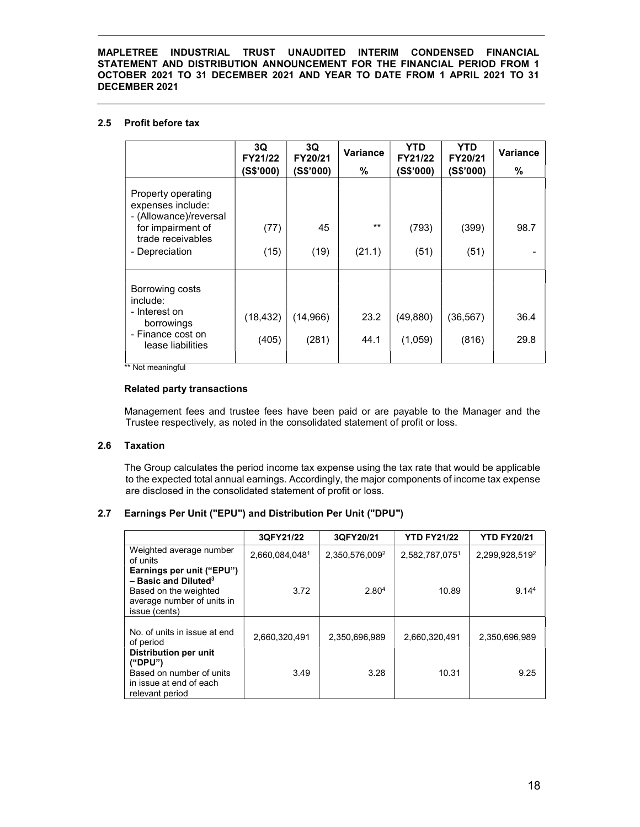# 2.5 Profit before tax

|                                                                                                      | 3Q<br>FY21/22      | 3Q<br>FY20/21     | <b>Variance</b> | YTD<br>FY21/22       | YTD.<br>FY20/21   | <b>Variance</b> |
|------------------------------------------------------------------------------------------------------|--------------------|-------------------|-----------------|----------------------|-------------------|-----------------|
|                                                                                                      | (S\$'000)          | (S\$'000)         | %               | (S\$'000)            | (S\$'000)         | ℅               |
| Property operating<br>expenses include:<br>- (Allowance)/reversal                                    |                    |                   |                 |                      |                   |                 |
| for impairment of                                                                                    | (77)               | 45                | $***$           | (793)                | (399)             | 98.7            |
| trade receivables<br>- Depreciation                                                                  | (15)               | (19)              | (21.1)          | (51)                 | (51)              |                 |
| Borrowing costs<br>include:<br>- Interest on<br>borrowings<br>- Finance cost on<br>lease liabilities | (18, 432)<br>(405) | (14,966)<br>(281) | 23.2<br>44.1    | (49, 880)<br>(1,059) | (36,567)<br>(816) | 36.4<br>29.8    |

\*\* Not meaningful

#### Related party transactions

 Management fees and trustee fees have been paid or are payable to the Manager and the Trustee respectively, as noted in the consolidated statement of profit or loss.

# 2.6 Taxation

The Group calculates the period income tax expense using the tax rate that would be applicable to the expected total annual earnings. Accordingly, the major components of income tax expense are disclosed in the consolidated statement of profit or loss.

# 2.7 Earnings Per Unit ("EPU") and Distribution Per Unit ("DPU")

|                                                                                                                                         | 3QFY21/22      | 3QFY20/21         | <b>YTD FY21/22</b> | <b>YTD FY20/21</b> |
|-----------------------------------------------------------------------------------------------------------------------------------------|----------------|-------------------|--------------------|--------------------|
| Weighted average number<br>of units                                                                                                     | 2,660,084,0481 | 2,350,576,0092    | 2,582,787,0751     | 2,299,928,5192     |
| Earnings per unit ("EPU")<br>$-$ Basic and Diluted <sup>3</sup><br>Based on the weighted<br>average number of units in<br>issue (cents) | 3.72           | 2.80 <sup>4</sup> | 10.89              | 9.14 <sup>4</sup>  |
| No. of units in issue at end<br>of period                                                                                               | 2.660.320.491  | 2.350.696.989     | 2.660.320.491      | 2.350.696.989      |
| Distribution per unit<br>("DPU")<br>Based on number of units<br>in issue at end of each<br>relevant period                              | 3.49           | 3.28              | 10.31              | 9.25               |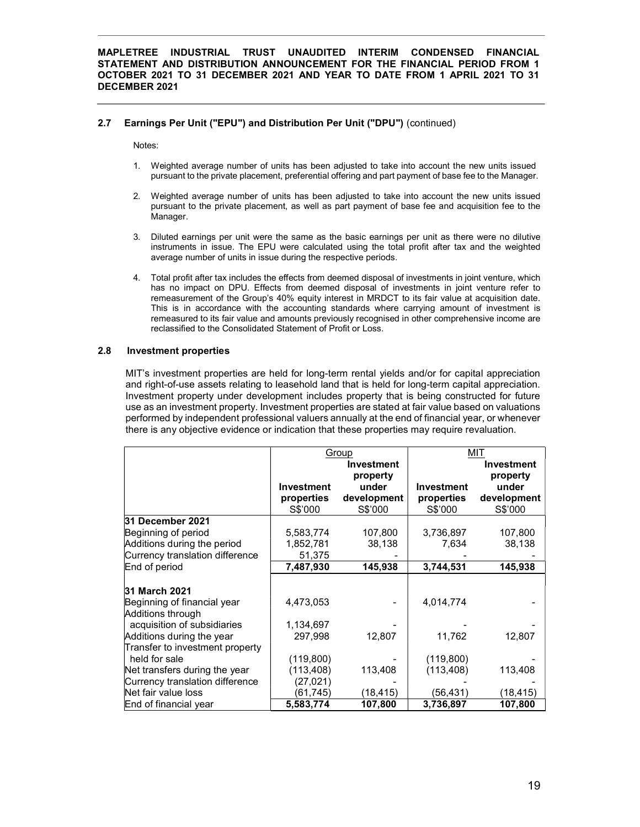# 2.7 Earnings Per Unit ("EPU") and Distribution Per Unit ("DPU") (continued)

Notes:

- 1. Weighted average number of units has been adjusted to take into account the new units issued pursuant to the private placement, preferential offering and part payment of base fee to the Manager.
- 2. Weighted average number of units has been adjusted to take into account the new units issued pursuant to the private placement, as well as part payment of base fee and acquisition fee to the Manager.
- 3. Diluted earnings per unit were the same as the basic earnings per unit as there were no dilutive instruments in issue. The EPU were calculated using the total profit after tax and the weighted average number of units in issue during the respective periods.
- 4. Total profit after tax includes the effects from deemed disposal of investments in joint venture, which has no impact on DPU. Effects from deemed disposal of investments in joint venture refer to remeasurement of the Group's 40% equity interest in MRDCT to its fair value at acquisition date. This is in accordance with the accounting standards where carrying amount of investment is remeasured to its fair value and amounts previously recognised in other comprehensive income are reclassified to the Consolidated Statement of Profit or Loss.

#### 2.8 Investment properties

MIT's investment properties are held for long-term rental yields and/or for capital appreciation and right-of-use assets relating to leasehold land that is held for long-term capital appreciation. Investment property under development includes property that is being constructed for future use as an investment property. Investment properties are stated at fair value based on valuations performed by independent professional valuers annually at the end of financial year, or whenever there is any objective evidence or indication that these properties may require revaluation.

|                                 |                   | Group                         |                   | MIT                           |
|---------------------------------|-------------------|-------------------------------|-------------------|-------------------------------|
|                                 |                   | <b>Investment</b><br>property |                   | <b>Investment</b><br>property |
|                                 | <b>Investment</b> | under                         | <b>Investment</b> | under                         |
|                                 | properties        | development                   | properties        | development                   |
|                                 | S\$'000           | S\$'000                       | S\$'000           | S\$'000                       |
| 31 December 2021                |                   |                               |                   |                               |
| Beginning of period             | 5,583,774         | 107,800                       | 3,736,897         | 107,800                       |
| Additions during the period     | 1,852,781         | 38,138                        | 7,634             | 38,138                        |
| Currency translation difference | 51,375            |                               |                   |                               |
| End of period                   | 7,487,930         | 145,938                       | 3,744,531         | 145,938                       |
|                                 |                   |                               |                   |                               |
| 31 March 2021                   |                   |                               |                   |                               |
| Beginning of financial year     | 4,473,053         |                               | 4,014,774         |                               |
| Additions through               |                   |                               |                   |                               |
| acquisition of subsidiaries     | 1,134,697         |                               |                   |                               |
| Additions during the year       | 297,998           | 12,807                        | 11,762            | 12,807                        |
| Transfer to investment property |                   |                               |                   |                               |
| held for sale                   | (119,800)         |                               | (119, 800)        |                               |
| Net transfers during the year   | (113, 408)        | 113,408                       | (113, 408)        | 113,408                       |
| Currency translation difference | (27, 021)         |                               |                   |                               |
| Net fair value loss             | (61, 745)         | (18,415)                      | (56,431)          | (18,415)                      |
| End of financial year           | 5,583,774         | 107,800                       | 3,736,897         | 107,800                       |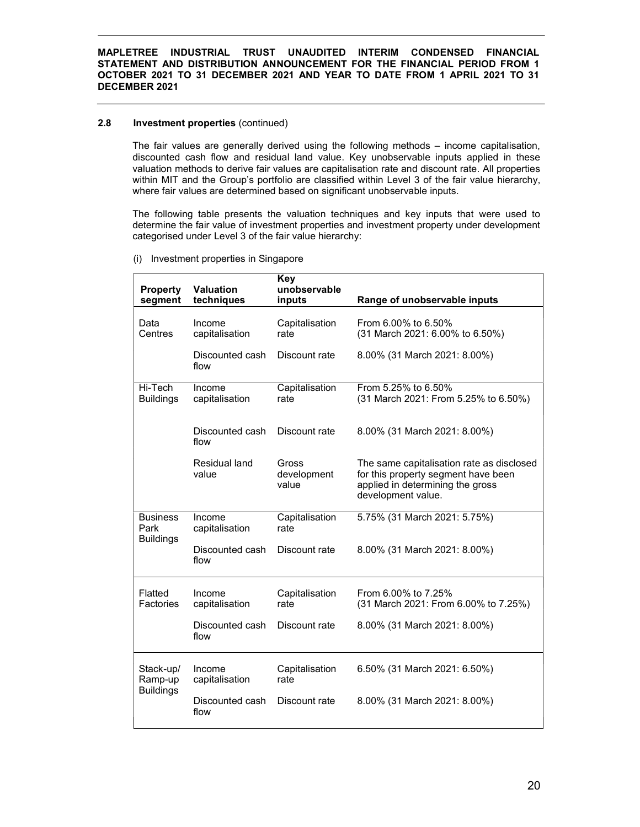## 2.8 **Investment properties** (continued)

The fair values are generally derived using the following methods – income capitalisation, discounted cash flow and residual land value. Key unobservable inputs applied in these valuation methods to derive fair values are capitalisation rate and discount rate. All properties within MIT and the Group's portfolio are classified within Level 3 of the fair value hierarchy, where fair values are determined based on significant unobservable inputs.

The following table presents the valuation techniques and key inputs that were used to determine the fair value of investment properties and investment property under development categorised under Level 3 of the fair value hierarchy:

| <b>Property</b><br>segment                  | <b>Valuation</b><br>techniques | <b>Key</b><br>unobservable<br>inputs | Range of unobservable inputs                                                                                                               |
|---------------------------------------------|--------------------------------|--------------------------------------|--------------------------------------------------------------------------------------------------------------------------------------------|
| Data<br>Centres                             | Income<br>capitalisation       | Capitalisation<br>rate               | From 6.00% to 6.50%<br>(31 March 2021: 6.00% to 6.50%)                                                                                     |
|                                             | Discounted cash<br>flow        | Discount rate                        | 8.00% (31 March 2021: 8.00%)                                                                                                               |
| Hi-Tech<br><b>Buildings</b>                 | Income<br>capitalisation       | Capitalisation<br>rate               | From 5.25% to 6.50%<br>(31 March 2021: From 5.25% to 6.50%)                                                                                |
|                                             | Discounted cash<br>flow        | Discount rate                        | 8.00% (31 March 2021: 8.00%)                                                                                                               |
|                                             | Residual land<br>value         | Gross<br>development<br>value        | The same capitalisation rate as disclosed<br>for this property segment have been<br>applied in determining the gross<br>development value. |
| <b>Business</b><br>Park<br><b>Buildings</b> | Income<br>capitalisation       | Capitalisation<br>rate               | 5.75% (31 March 2021: 5.75%)                                                                                                               |
|                                             | Discounted cash<br>flow        | Discount rate                        | 8.00% (31 March 2021: 8.00%)                                                                                                               |
| Flatted<br>Factories                        | Income<br>capitalisation       | Capitalisation<br>rate               | From 6.00% to 7.25%<br>(31 March 2021: From 6.00% to 7.25%)                                                                                |
|                                             | Discounted cash<br>flow        | Discount rate                        | 8.00% (31 March 2021: 8.00%)                                                                                                               |
| Stack-up/<br>Ramp-up                        | Income<br>capitalisation       | Capitalisation<br>rate               | 6.50% (31 March 2021: 6.50%)                                                                                                               |
| <b>Buildings</b>                            | Discounted cash<br>flow        | Discount rate                        | 8.00% (31 March 2021: 8.00%)                                                                                                               |

(i) Investment properties in Singapore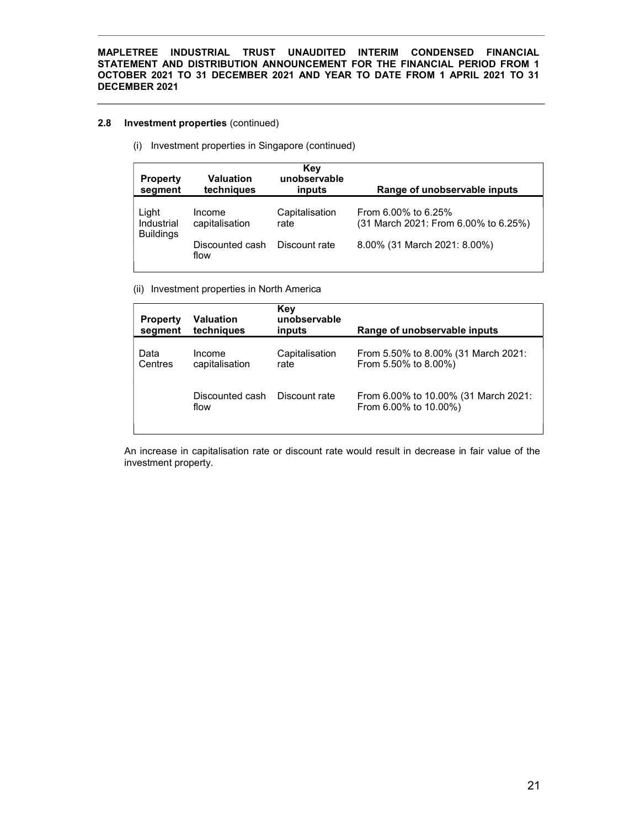# 2.8 Investment properties (continued)

(i) Investment properties in Singapore (continued)

| <b>Property</b><br>segment | <b>Valuation</b><br>techniques | Key<br>unobservable<br>inputs | Range of unobservable inputs                                |
|----------------------------|--------------------------------|-------------------------------|-------------------------------------------------------------|
| Light<br>Industrial        | Income<br>capitalisation       | Capitalisation<br>rate        | From 6.00% to 6.25%<br>(31 March 2021: From 6.00% to 6.25%) |
| <b>Buildings</b>           | Discounted cash<br>flow        | Discount rate                 | 8.00% (31 March 2021: 8.00%)                                |

(ii) Investment properties in North America

| <b>Property</b><br>segment | Valuation<br>techniques  | Key<br>unobservable<br>inputs | Range of unobservable inputs                                  |
|----------------------------|--------------------------|-------------------------------|---------------------------------------------------------------|
| Data<br>Centres            | Income<br>capitalisation | Capitalisation<br>rate        | From 5.50% to 8.00% (31 March 2021:<br>From 5.50% to 8.00%)   |
|                            | Discounted cash<br>flow  | Discount rate                 | From 6.00% to 10.00% (31 March 2021:<br>From 6.00% to 10.00%) |

An increase in capitalisation rate or discount rate would result in decrease in fair value of the investment property.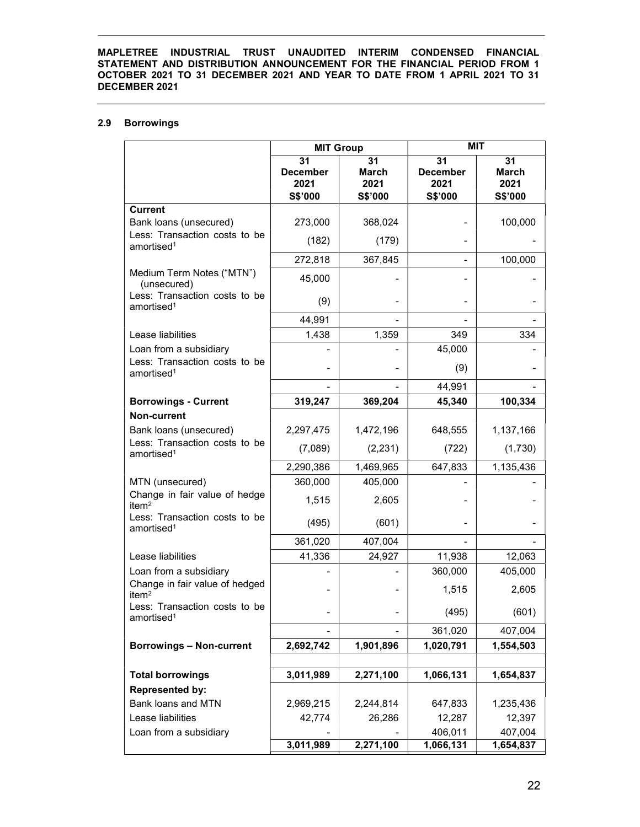# 2.9 Borrowings

|                                                         | <b>MIT Group</b>                         |                                       | MIT                                      |                                       |
|---------------------------------------------------------|------------------------------------------|---------------------------------------|------------------------------------------|---------------------------------------|
|                                                         | 31<br><b>December</b><br>2021<br>S\$'000 | 31<br><b>March</b><br>2021<br>S\$'000 | 31<br><b>December</b><br>2021<br>S\$'000 | 31<br><b>March</b><br>2021<br>S\$'000 |
| <b>Current</b>                                          |                                          |                                       |                                          |                                       |
| Bank loans (unsecured)                                  | 273,000                                  | 368,024                               |                                          | 100,000                               |
| Less: Transaction costs to be<br>amortised <sup>1</sup> | (182)                                    | (179)                                 |                                          |                                       |
|                                                         | 272,818                                  | 367,845                               |                                          | 100,000                               |
| Medium Term Notes ("MTN")<br>(unsecured)                | 45,000                                   |                                       |                                          |                                       |
| Less: Transaction costs to be<br>amortised <sup>1</sup> | (9)                                      |                                       |                                          |                                       |
|                                                         | 44,991                                   |                                       |                                          |                                       |
| Lease liabilities                                       | 1,438                                    | 1,359                                 | 349                                      | 334                                   |
| Loan from a subsidiary                                  |                                          |                                       | 45,000                                   |                                       |
| Less: Transaction costs to be<br>amortised <sup>1</sup> |                                          |                                       | (9)                                      |                                       |
|                                                         |                                          |                                       | 44,991                                   |                                       |
| <b>Borrowings - Current</b>                             | 319,247                                  | 369,204                               | 45,340                                   | 100,334                               |
| <b>Non-current</b>                                      |                                          |                                       |                                          |                                       |
| Bank loans (unsecured)<br>Less: Transaction costs to be | 2,297,475                                | 1,472,196                             | 648,555                                  | 1,137,166                             |
| amortised <sup>1</sup>                                  | (7,089)                                  | (2, 231)                              | (722)                                    | (1,730)                               |
|                                                         | 2,290,386                                | 1,469,965                             | 647,833                                  | 1,135,436                             |
| MTN (unsecured)                                         | 360,000                                  | 405,000                               |                                          |                                       |
| Change in fair value of hedge<br>item $2$               | 1,515                                    | 2,605                                 |                                          |                                       |
| Less: Transaction costs to be<br>amortised <sup>1</sup> | (495)                                    | (601)                                 |                                          |                                       |
|                                                         | 361,020                                  | 407,004                               |                                          |                                       |
| Lease liabilities                                       | 41,336                                   | 24,927                                | 11,938                                   | 12,063                                |
| Loan from a subsidiary                                  |                                          |                                       | 360,000                                  | 405,000                               |
| Change in fair value of hedged<br>item $2$              |                                          |                                       | 1,515                                    | 2,605                                 |
| Less: Transaction costs to be<br>amortised <sup>1</sup> |                                          |                                       | (495)                                    | (601)                                 |
|                                                         |                                          |                                       | 361,020                                  | 407,004                               |
| <b>Borrowings - Non-current</b>                         | 2,692,742                                | 1,901,896                             | 1,020,791                                | 1,554,503                             |
|                                                         |                                          |                                       |                                          |                                       |
| <b>Total borrowings</b>                                 | 3,011,989                                | 2,271,100                             | 1,066,131                                | 1,654,837                             |
| <b>Represented by:</b>                                  |                                          |                                       |                                          |                                       |
| Bank loans and MTN                                      | 2,969,215                                | 2,244,814                             | 647,833                                  | 1,235,436                             |
| Lease liabilities                                       | 42,774                                   | 26,286                                | 12,287                                   | 12,397                                |
| Loan from a subsidiary                                  |                                          | 2,271,100                             | 406,011                                  | 407,004                               |
|                                                         | 3,011,989                                |                                       | 1,066,131                                | 1,654,837                             |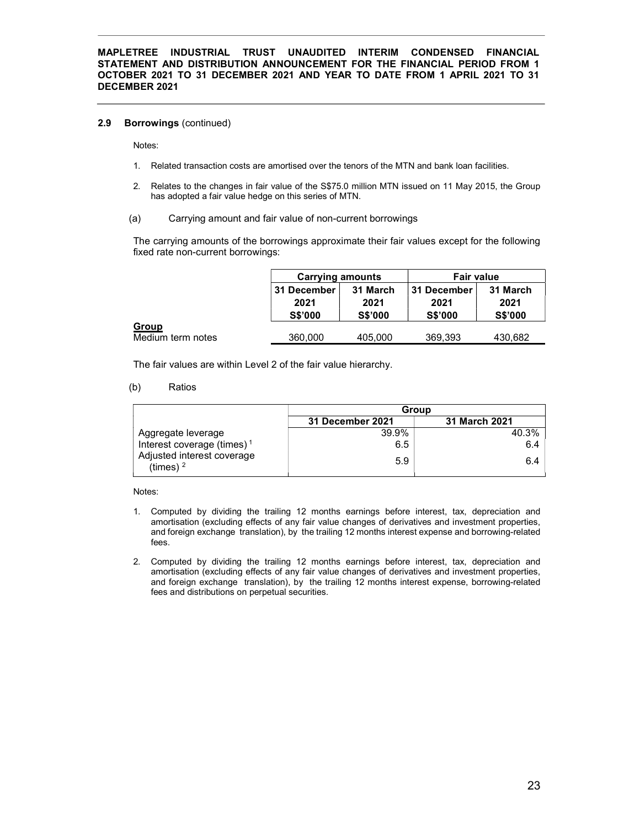#### 2.9 Borrowings (continued)

Notes:

- 1. Related transaction costs are amortised over the tenors of the MTN and bank loan facilities.
- 2. Relates to the changes in fair value of the S\$75.0 million MTN issued on 11 May 2015, the Group has adopted a fair value hedge on this series of MTN.
- (a) Carrying amount and fair value of non-current borrowings

The carrying amounts of the borrowings approximate their fair values except for the following fixed rate non-current borrowings:

|                                   | <b>Carrying amounts</b>               |                                    | <b>Fair value</b>                     |                                    |
|-----------------------------------|---------------------------------------|------------------------------------|---------------------------------------|------------------------------------|
|                                   | 31 December<br>2021<br><b>S\$'000</b> | 31 March<br>2021<br><b>S\$'000</b> | 31 December<br>2021<br><b>S\$'000</b> | 31 March<br>2021<br><b>S\$'000</b> |
| <b>Group</b><br>Medium term notes | 360,000                               | 405,000                            | 369.393                               | 430.682                            |

The fair values are within Level 2 of the fair value hierarchy.

(b) Ratios

|                                           | Group            |               |  |
|-------------------------------------------|------------------|---------------|--|
|                                           | 31 December 2021 | 31 March 2021 |  |
| Aggregate leverage                        | 39.9%            | 40.3%         |  |
| Interest coverage (times) <sup>1</sup>    | 6.5              | 6.4           |  |
| Adjusted interest coverage<br>(times) $2$ | 5.9              | 6.4           |  |

Notes:

- 1. Computed by dividing the trailing 12 months earnings before interest, tax, depreciation and amortisation (excluding effects of any fair value changes of derivatives and investment properties, and foreign exchange translation), by the trailing 12 months interest expense and borrowing-related fees.
- 2. Computed by dividing the trailing 12 months earnings before interest, tax, depreciation and amortisation (excluding effects of any fair value changes of derivatives and investment properties, and foreign exchange translation), by the trailing 12 months interest expense, borrowing-related fees and distributions on perpetual securities.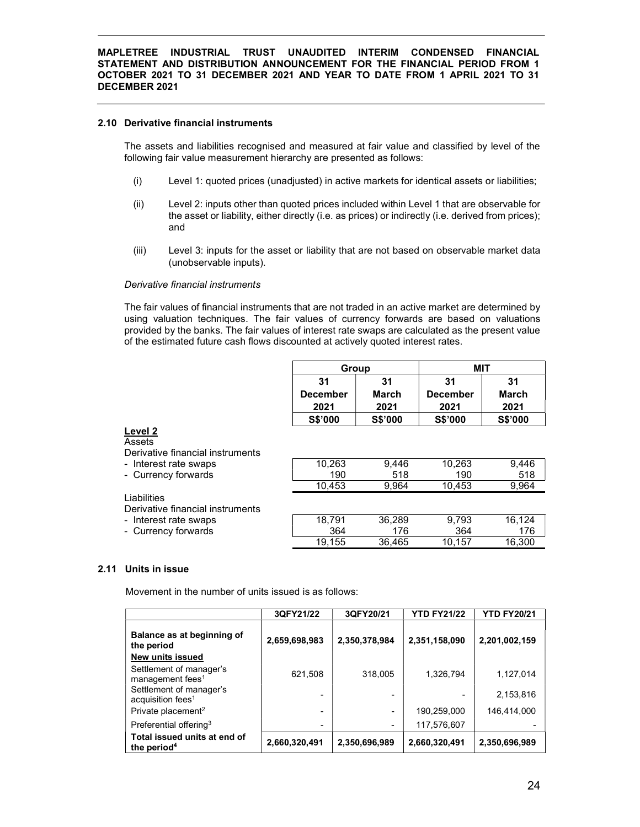#### 2.10 Derivative financial instruments

The assets and liabilities recognised and measured at fair value and classified by level of the following fair value measurement hierarchy are presented as follows:

- (i) Level 1: quoted prices (unadjusted) in active markets for identical assets or liabilities;
- (ii) Level 2: inputs other than quoted prices included within Level 1 that are observable for the asset or liability, either directly (i.e. as prices) or indirectly (i.e. derived from prices); and
- (iii) Level 3: inputs for the asset or liability that are not based on observable market data (unobservable inputs).

#### Derivative financial instruments

The fair values of financial instruments that are not traded in an active market are determined by using valuation techniques. The fair values of currency forwards are based on valuations provided by the banks. The fair values of interest rate swaps are calculated as the present value of the estimated future cash flows discounted at actively quoted interest rates.

|                                                       | Group                  |                     | <b>MIT</b>                    |                            |
|-------------------------------------------------------|------------------------|---------------------|-------------------------------|----------------------------|
|                                                       | 31<br>December<br>2021 | 31<br>March<br>2021 | 31<br><b>December</b><br>2021 | 31<br><b>March</b><br>2021 |
|                                                       | <b>S\$'000</b>         | <b>S\$'000</b>      | <b>S\$'000</b>                | <b>S\$'000</b>             |
| Level 2<br>Assets<br>Derivative financial instruments |                        |                     |                               |                            |
| - Interest rate swaps                                 | 10.263                 | 9.446               | 10.263                        | 9,446                      |
| - Currency forwards                                   | 190                    | 518                 | 190                           | 518                        |
|                                                       | 10,453                 | 9,964               | 10,453                        | 9,964                      |
| Liabilities<br>Derivative financial instruments       |                        |                     |                               |                            |
| - Interest rate swaps                                 | 18.791                 | 36.289              | 9.793                         | 16,124                     |
| - Currency forwards                                   | 364                    | 176                 | 364                           | 176                        |
|                                                       | 19.155                 | 36,465              | 10.157                        | 16.300                     |

# 2.11 Units in issue

Movement in the number of units issued is as follows:

|                                                          | 3QFY21/22     | 3QFY20/21     | <b>YTD FY21/22</b> | <b>YTD FY20/21</b> |
|----------------------------------------------------------|---------------|---------------|--------------------|--------------------|
| Balance as at beginning of<br>the period                 | 2,659,698,983 | 2,350,378,984 | 2,351,158,090      | 2,201,002,159      |
| New units issued                                         |               |               |                    |                    |
| Settlement of manager's<br>management fees <sup>1</sup>  | 621,508       | 318,005       | 1,326,794          | 1,127,014          |
| Settlement of manager's<br>acquisition fees <sup>1</sup> |               |               |                    | 2,153,816          |
| Private placement <sup>2</sup>                           |               |               | 190,259,000        | 146,414,000        |
| Preferential offering <sup>3</sup>                       | -             |               | 117,576,607        |                    |
| Total issued units at end of<br>the period <sup>4</sup>  | 2,660,320,491 | 2,350,696,989 | 2,660,320,491      | 2,350,696,989      |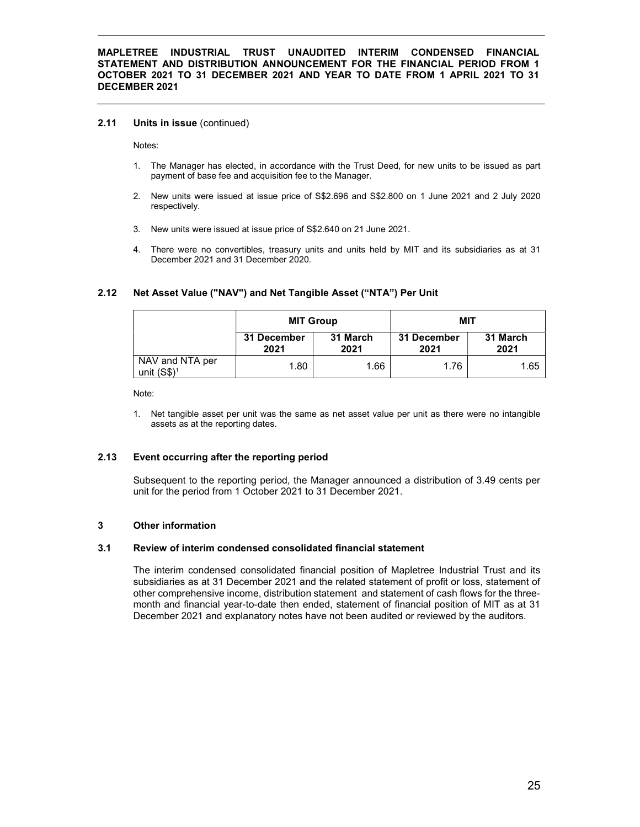#### 2.11 Units in issue (continued)

Notes:

- 1. The Manager has elected, in accordance with the Trust Deed, for new units to be issued as part payment of base fee and acquisition fee to the Manager.
- 2. New units were issued at issue price of S\$2.696 and S\$2.800 on 1 June 2021 and 2 July 2020 respectively.
- 3. New units were issued at issue price of S\$2.640 on 21 June 2021.
- 4. There were no convertibles, treasury units and units held by MIT and its subsidiaries as at 31 December 2021 and 31 December 2020.

|                                  | <b>MIT Group</b>    |                  | MIT                 |                  |
|----------------------------------|---------------------|------------------|---------------------|------------------|
|                                  | 31 December<br>2021 | 31 March<br>2021 | 31 December<br>2021 | 31 March<br>2021 |
| NAV and NTA per<br>unit $(S$)^1$ | 1.80                | 1.66             | 1.76                | 1.65             |

# 2.12 Net Asset Value ("NAV") and Net Tangible Asset ("NTA") Per Unit

Note:

1. Net tangible asset per unit was the same as net asset value per unit as there were no intangible assets as at the reporting dates.

# 2.13 Event occurring after the reporting period

Subsequent to the reporting period, the Manager announced a distribution of 3.49 cents per unit for the period from 1 October 2021 to 31 December 2021.

# 3 Other information

#### 3.1 Review of interim condensed consolidated financial statement

The interim condensed consolidated financial position of Mapletree Industrial Trust and its subsidiaries as at 31 December 2021 and the related statement of profit or loss, statement of other comprehensive income, distribution statement and statement of cash flows for the threemonth and financial year-to-date then ended, statement of financial position of MIT as at 31 December 2021 and explanatory notes have not been audited or reviewed by the auditors.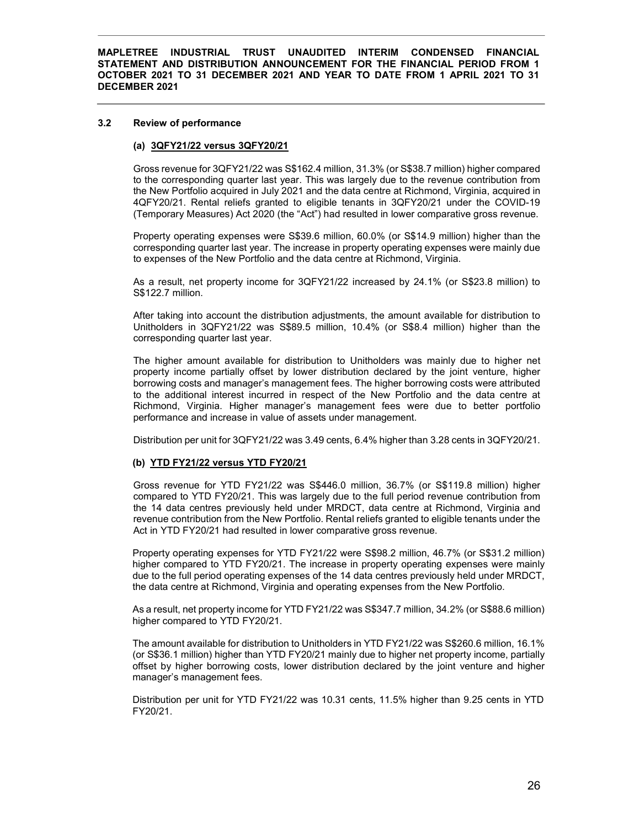#### 3.2 Review of performance

## (a) 3QFY21/22 versus 3QFY20/21

Gross revenue for 3QFY21/22 was S\$162.4 million, 31.3% (or S\$38.7 million) higher compared to the corresponding quarter last year. This was largely due to the revenue contribution from the New Portfolio acquired in July 2021 and the data centre at Richmond, Virginia, acquired in 4QFY20/21. Rental reliefs granted to eligible tenants in 3QFY20/21 under the COVID-19 (Temporary Measures) Act 2020 (the "Act") had resulted in lower comparative gross revenue.

Property operating expenses were S\$39.6 million, 60.0% (or S\$14.9 million) higher than the corresponding quarter last year. The increase in property operating expenses were mainly due to expenses of the New Portfolio and the data centre at Richmond, Virginia.

As a result, net property income for 3QFY21/22 increased by 24.1% (or S\$23.8 million) to S\$122.7 million.

After taking into account the distribution adjustments, the amount available for distribution to Unitholders in 3QFY21/22 was S\$89.5 million, 10.4% (or S\$8.4 million) higher than the corresponding quarter last year.

The higher amount available for distribution to Unitholders was mainly due to higher net property income partially offset by lower distribution declared by the joint venture, higher borrowing costs and manager's management fees. The higher borrowing costs were attributed to the additional interest incurred in respect of the New Portfolio and the data centre at Richmond, Virginia. Higher manager's management fees were due to better portfolio performance and increase in value of assets under management.

Distribution per unit for 3QFY21/22 was 3.49 cents, 6.4% higher than 3.28 cents in 3QFY20/21.

# (b) YTD FY21/22 versus YTD FY20/21

Gross revenue for YTD FY21/22 was S\$446.0 million, 36.7% (or S\$119.8 million) higher compared to YTD FY20/21. This was largely due to the full period revenue contribution from the 14 data centres previously held under MRDCT, data centre at Richmond, Virginia and revenue contribution from the New Portfolio. Rental reliefs granted to eligible tenants under the Act in YTD FY20/21 had resulted in lower comparative gross revenue.

Property operating expenses for YTD FY21/22 were S\$98.2 million, 46.7% (or S\$31.2 million) higher compared to YTD FY20/21. The increase in property operating expenses were mainly due to the full period operating expenses of the 14 data centres previously held under MRDCT, the data centre at Richmond, Virginia and operating expenses from the New Portfolio.

As a result, net property income for YTD FY21/22 was S\$347.7 million, 34.2% (or S\$88.6 million) higher compared to YTD FY20/21.

The amount available for distribution to Unitholders in YTD FY21/22 was S\$260.6 million, 16.1% (or S\$36.1 million) higher than YTD FY20/21 mainly due to higher net property income, partially offset by higher borrowing costs, lower distribution declared by the joint venture and higher manager's management fees.

Distribution per unit for YTD FY21/22 was 10.31 cents, 11.5% higher than 9.25 cents in YTD FY20/21.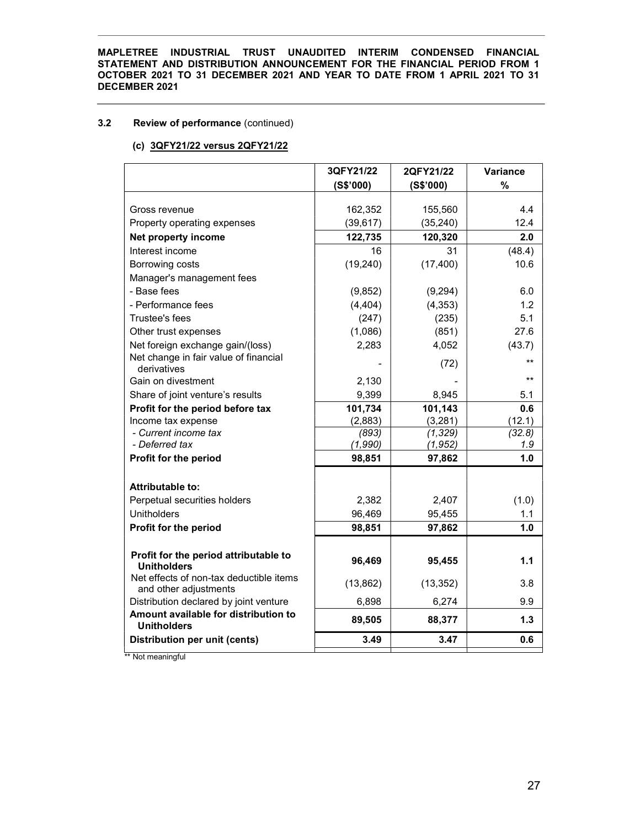# 3.2 Review of performance (continued)

# (c) 3QFY21/22 versus 2QFY21/22

|                                                                  | 3QFY21/22 | 2QFY21/22 | Variance |
|------------------------------------------------------------------|-----------|-----------|----------|
|                                                                  | (S\$'000) | (S\$'000) | $\%$     |
|                                                                  |           |           |          |
| Gross revenue                                                    | 162,352   | 155,560   | 4.4      |
| Property operating expenses                                      | (39, 617) | (35, 240) | 12.4     |
| Net property income                                              | 122,735   | 120,320   | 2.0      |
| Interest income                                                  | 16        | 31        | (48.4)   |
| Borrowing costs                                                  | (19, 240) | (17, 400) | 10.6     |
| Manager's management fees                                        |           |           |          |
| - Base fees                                                      | (9,852)   | (9,294)   | 6.0      |
| - Performance fees                                               | (4, 404)  | (4, 353)  | 1.2      |
| Trustee's fees                                                   | (247)     | (235)     | 5.1      |
| Other trust expenses                                             | (1,086)   | (851)     | 27.6     |
| Net foreign exchange gain/(loss)                                 | 2,283     | 4,052     | (43.7)   |
| Net change in fair value of financial<br>derivatives             |           | (72)      | $***$    |
| Gain on divestment                                               | 2,130     |           | $***$    |
| Share of joint venture's results                                 | 9,399     | 8,945     | 5.1      |
| Profit for the period before tax                                 | 101,734   | 101,143   | 0.6      |
| Income tax expense                                               | (2,883)   | (3,281)   | (12.1)   |
| - Current income tax                                             | (893)     | (1, 329)  | (32.8)   |
| - Deferred tax                                                   | (1,990)   | (1, 952)  | 1.9      |
| Profit for the period                                            | 98,851    | 97,862    | 1.0      |
| <b>Attributable to:</b>                                          |           |           |          |
| Perpetual securities holders                                     | 2,382     | 2,407     | (1.0)    |
| <b>Unitholders</b>                                               | 96,469    | 95,455    | 1.1      |
| Profit for the period                                            | 98,851    | 97,862    | 1.0      |
|                                                                  |           |           |          |
| Profit for the period attributable to<br><b>Unitholders</b>      | 96,469    | 95,455    | 1.1      |
| Net effects of non-tax deductible items<br>and other adjustments | (13, 862) | (13, 352) | 3.8      |
| Distribution declared by joint venture                           | 6,898     | 6,274     | 9.9      |
| Amount available for distribution to<br><b>Unitholders</b>       | 89,505    | 88,377    | 1.3      |
| Distribution per unit (cents)                                    | 3.49      | 3.47      | 0.6      |
|                                                                  |           |           |          |

\*\* Not meaningful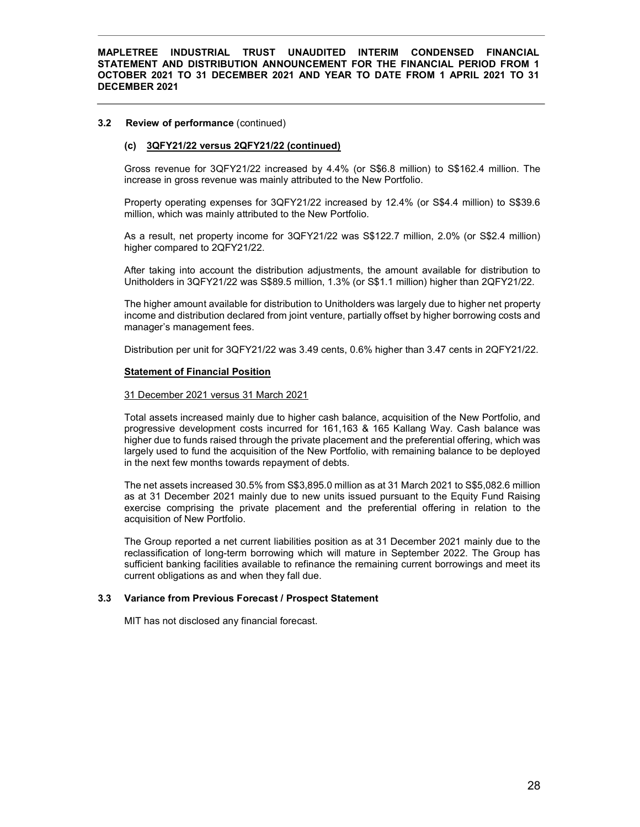#### 3.2 Review of performance (continued)

#### (c) 3QFY21/22 versus 2QFY21/22 (continued)

Gross revenue for 3QFY21/22 increased by 4.4% (or S\$6.8 million) to S\$162.4 million. The increase in gross revenue was mainly attributed to the New Portfolio.

Property operating expenses for 3QFY21/22 increased by 12.4% (or S\$4.4 million) to S\$39.6 million, which was mainly attributed to the New Portfolio.

As a result, net property income for 3QFY21/22 was S\$122.7 million, 2.0% (or S\$2.4 million) higher compared to 2QFY21/22.

After taking into account the distribution adjustments, the amount available for distribution to Unitholders in 3QFY21/22 was S\$89.5 million, 1.3% (or S\$1.1 million) higher than 2QFY21/22.

The higher amount available for distribution to Unitholders was largely due to higher net property income and distribution declared from joint venture, partially offset by higher borrowing costs and manager's management fees.

Distribution per unit for 3QFY21/22 was 3.49 cents, 0.6% higher than 3.47 cents in 2QFY21/22.

#### Statement of Financial Position

#### 31 December 2021 versus 31 March 2021

Total assets increased mainly due to higher cash balance, acquisition of the New Portfolio, and progressive development costs incurred for 161,163 & 165 Kallang Way. Cash balance was higher due to funds raised through the private placement and the preferential offering, which was largely used to fund the acquisition of the New Portfolio, with remaining balance to be deployed in the next few months towards repayment of debts.

The net assets increased 30.5% from S\$3,895.0 million as at 31 March 2021 to S\$5,082.6 million as at 31 December 2021 mainly due to new units issued pursuant to the Equity Fund Raising exercise comprising the private placement and the preferential offering in relation to the acquisition of New Portfolio.

The Group reported a net current liabilities position as at 31 December 2021 mainly due to the reclassification of long-term borrowing which will mature in September 2022. The Group has sufficient banking facilities available to refinance the remaining current borrowings and meet its current obligations as and when they fall due.

#### 3.3 Variance from Previous Forecast / Prospect Statement

MIT has not disclosed any financial forecast.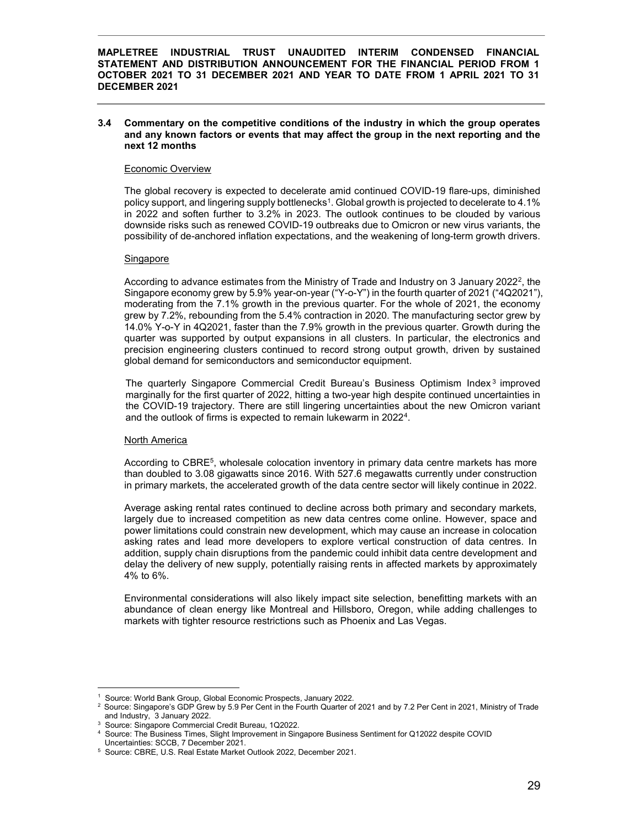#### 3.4 Commentary on the competitive conditions of the industry in which the group operates and any known factors or events that may affect the group in the next reporting and the next 12 months

#### Economic Overview

The global recovery is expected to decelerate amid continued COVID-19 flare-ups, diminished policy support, and lingering supply bottlenecks $^1$ . Global growth is projected to decelerate to 4.1% in 2022 and soften further to 3.2% in 2023. The outlook continues to be clouded by various downside risks such as renewed COVID-19 outbreaks due to Omicron or new virus variants, the possibility of de-anchored inflation expectations, and the weakening of long-term growth drivers.

## Singapore

According to advance estimates from the Ministry of Trade and Industry on 3 January 2022<sup>2</sup>, the Singapore economy grew by 5.9% year-on-year ("Y-o-Y") in the fourth quarter of 2021 ("4Q2021"), moderating from the 7.1% growth in the previous quarter. For the whole of 2021, the economy grew by 7.2%, rebounding from the 5.4% contraction in 2020. The manufacturing sector grew by 14.0% Y-o-Y in 4Q2021, faster than the 7.9% growth in the previous quarter. Growth during the quarter was supported by output expansions in all clusters. In particular, the electronics and precision engineering clusters continued to record strong output growth, driven by sustained global demand for semiconductors and semiconductor equipment.

The quarterly Singapore Commercial Credit Bureau's Business Optimism Index<sup>3</sup> improved marginally for the first quarter of 2022, hitting a two-year high despite continued uncertainties in the COVID-19 trajectory. There are still lingering uncertainties about the new Omicron variant and the outlook of firms is expected to remain lukewarm in 2022<sup>4</sup>.

#### North America

According to CBRE<sup>5</sup>, wholesale colocation inventory in primary data centre markets has more than doubled to 3.08 gigawatts since 2016. With 527.6 megawatts currently under construction in primary markets, the accelerated growth of the data centre sector will likely continue in 2022.

Average asking rental rates continued to decline across both primary and secondary markets, largely due to increased competition as new data centres come online. However, space and power limitations could constrain new development, which may cause an increase in colocation asking rates and lead more developers to explore vertical construction of data centres. In addition, supply chain disruptions from the pandemic could inhibit data centre development and delay the delivery of new supply, potentially raising rents in affected markets by approximately 4% to 6%.

Environmental considerations will also likely impact site selection, benefitting markets with an abundance of clean energy like Montreal and Hillsboro, Oregon, while adding challenges to markets with tighter resource restrictions such as Phoenix and Las Vegas.

-

<sup>1</sup> Source: World Bank Group, Global Economic Prospects, January 2022.

<sup>&</sup>lt;sup>2</sup> Source: Singapore's GDP Grew by 5.9 Per Cent in the Fourth Quarter of 2021 and by 7.2 Per Cent in 2021, Ministry of Trade and Industry, 3 January 2022.

<sup>3</sup> Source: Singapore Commercial Credit Bureau, 1Q2022.

<sup>4</sup> Source: The Business Times, Slight Improvement in Singapore Business Sentiment for Q12022 despite COVID

Uncertainties: SCCB, 7 December 2021.

<sup>5</sup> Source: CBRE, U.S. Real Estate Market Outlook 2022, December 2021.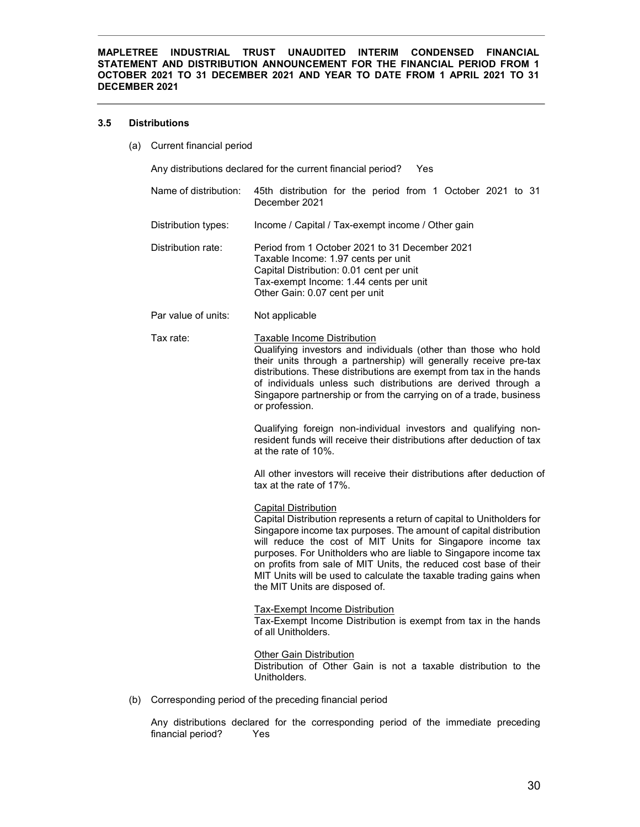#### 3.5 Distributions

(a) Current financial period

Any distributions declared for the current financial period? Yes

| Name of distribution: | 45th distribution for the period from 1 October 2021 to 31<br>December 2021                                                                                                                                                                                                                                                                                                                                                                                                               |
|-----------------------|-------------------------------------------------------------------------------------------------------------------------------------------------------------------------------------------------------------------------------------------------------------------------------------------------------------------------------------------------------------------------------------------------------------------------------------------------------------------------------------------|
| Distribution types:   | Income / Capital / Tax-exempt income / Other gain                                                                                                                                                                                                                                                                                                                                                                                                                                         |
| Distribution rate:    | Period from 1 October 2021 to 31 December 2021<br>Taxable Income: 1.97 cents per unit<br>Capital Distribution: 0.01 cent per unit<br>Tax-exempt Income: 1.44 cents per unit<br>Other Gain: 0.07 cent per unit                                                                                                                                                                                                                                                                             |
| Par value of units:   | Not applicable                                                                                                                                                                                                                                                                                                                                                                                                                                                                            |
| Tax rate:             | <b>Taxable Income Distribution</b><br>Qualifying investors and individuals (other than those who hold<br>their units through a partnership) will generally receive pre-tax<br>distributions. These distributions are exempt from tax in the hands<br>of individuals unless such distributions are derived through a<br>Singapore partnership or from the carrying on of a trade, business<br>or profession.                                                                               |
|                       | Qualifying foreign non-individual investors and qualifying non-<br>resident funds will receive their distributions after deduction of tax<br>at the rate of 10%.                                                                                                                                                                                                                                                                                                                          |
|                       | All other investors will receive their distributions after deduction of<br>tax at the rate of 17%.                                                                                                                                                                                                                                                                                                                                                                                        |
|                       | <b>Capital Distribution</b><br>Capital Distribution represents a return of capital to Unitholders for<br>Singapore income tax purposes. The amount of capital distribution<br>will reduce the cost of MIT Units for Singapore income tax<br>purposes. For Unitholders who are liable to Singapore income tax<br>on profits from sale of MIT Units, the reduced cost base of their<br>MIT Units will be used to calculate the taxable trading gains when<br>the MIT Units are disposed of. |
|                       | <b>Tax-Exempt Income Distribution</b><br>Tax-Exempt Income Distribution is exempt from tax in the hands<br>of all Unitholders.                                                                                                                                                                                                                                                                                                                                                            |
|                       | Other Gain Distribution<br>Distribution of Other Gain is not a taxable distribution to the<br>Unitholders.                                                                                                                                                                                                                                                                                                                                                                                |
|                       |                                                                                                                                                                                                                                                                                                                                                                                                                                                                                           |

(b) Corresponding period of the preceding financial period

Any distributions declared for the corresponding period of the immediate preceding financial period? Yes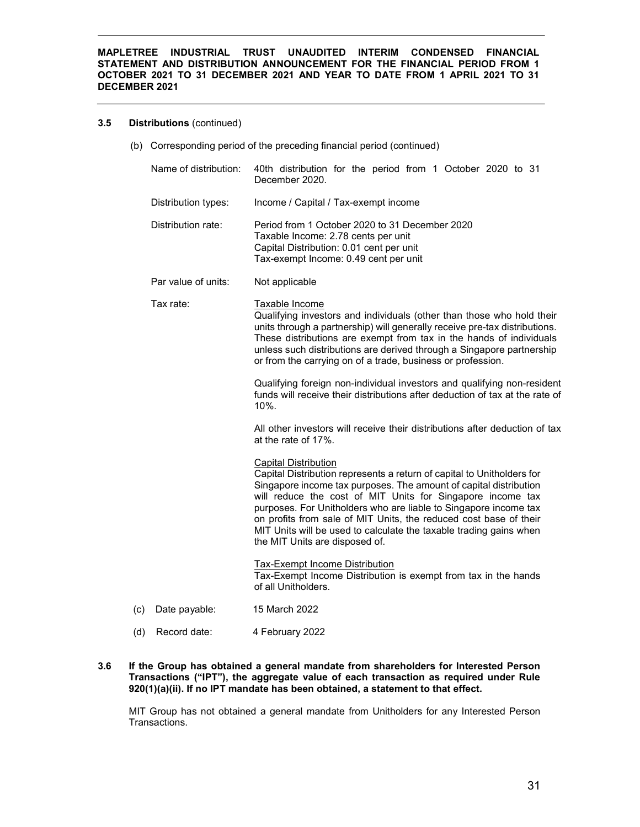#### 3.5 Distributions (continued)

(b) Corresponding period of the preceding financial period (continued)

|     | Name of distribution: | 40th distribution for the period from 1 October 2020 to 31<br>December 2020.                                                                                                                                                                                                                                                                                                                                                                                                              |
|-----|-----------------------|-------------------------------------------------------------------------------------------------------------------------------------------------------------------------------------------------------------------------------------------------------------------------------------------------------------------------------------------------------------------------------------------------------------------------------------------------------------------------------------------|
|     | Distribution types:   | Income / Capital / Tax-exempt income                                                                                                                                                                                                                                                                                                                                                                                                                                                      |
|     | Distribution rate:    | Period from 1 October 2020 to 31 December 2020<br>Taxable Income: 2.78 cents per unit<br>Capital Distribution: 0.01 cent per unit<br>Tax-exempt Income: 0.49 cent per unit                                                                                                                                                                                                                                                                                                                |
|     | Par value of units:   | Not applicable                                                                                                                                                                                                                                                                                                                                                                                                                                                                            |
|     | Tax rate:             | Taxable Income<br>Qualifying investors and individuals (other than those who hold their<br>units through a partnership) will generally receive pre-tax distributions.<br>These distributions are exempt from tax in the hands of individuals<br>unless such distributions are derived through a Singapore partnership<br>or from the carrying on of a trade, business or profession.                                                                                                      |
|     |                       | Qualifying foreign non-individual investors and qualifying non-resident<br>funds will receive their distributions after deduction of tax at the rate of<br>10%.                                                                                                                                                                                                                                                                                                                           |
|     |                       | All other investors will receive their distributions after deduction of tax<br>at the rate of 17%.                                                                                                                                                                                                                                                                                                                                                                                        |
|     |                       | <b>Capital Distribution</b><br>Capital Distribution represents a return of capital to Unitholders for<br>Singapore income tax purposes. The amount of capital distribution<br>will reduce the cost of MIT Units for Singapore income tax<br>purposes. For Unitholders who are liable to Singapore income tax<br>on profits from sale of MIT Units, the reduced cost base of their<br>MIT Units will be used to calculate the taxable trading gains when<br>the MIT Units are disposed of. |
|     |                       | <b>Tax-Exempt Income Distribution</b><br>Tax-Exempt Income Distribution is exempt from tax in the hands<br>of all Unitholders.                                                                                                                                                                                                                                                                                                                                                            |
| (c) | Date payable:         | 15 March 2022                                                                                                                                                                                                                                                                                                                                                                                                                                                                             |
| (d) | Record date:          | 4 February 2022                                                                                                                                                                                                                                                                                                                                                                                                                                                                           |

3.6 If the Group has obtained a general mandate from shareholders for Interested Person Transactions ("IPT"), the aggregate value of each transaction as required under Rule 920(1)(a)(ii). If no IPT mandate has been obtained, a statement to that effect.

MIT Group has not obtained a general mandate from Unitholders for any Interested Person Transactions.